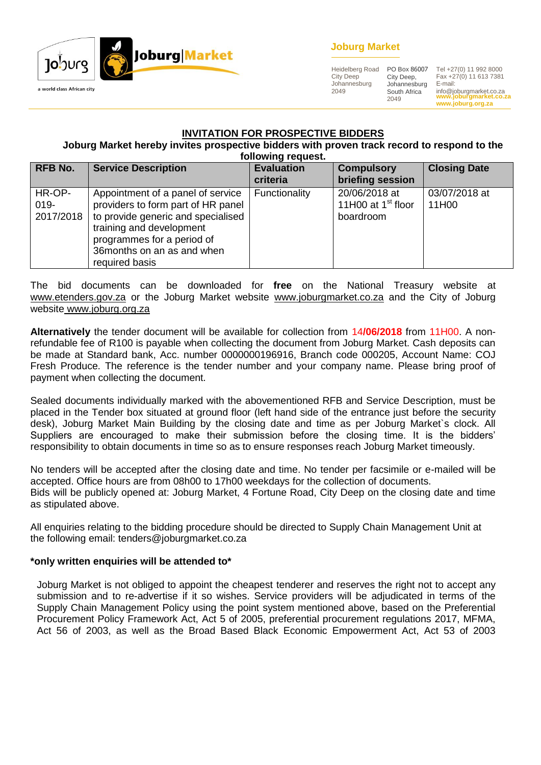

## **Joburg Market**

Heidelberg Road City Deep Johannesburg 2049

City Deep, Johannesburg South Africa 2049

**www.joburgmarket.co.za** info@joburgmarket.co.za **www.joburg.org.za** PO Box 86007 Tel +27(0) 11 992 8000 Fax +27(0) 11 613 7381 E-mail:

#### **INVITATION FOR PROSPECTIVE BIDDERS**

#### **Joburg Market hereby invites prospective bidders with proven track record to respond to the following request.**

|                                | TONOMING TUGALOW                                                                                                                                                                                                         |                               |                                                    |                        |  |  |
|--------------------------------|--------------------------------------------------------------------------------------------------------------------------------------------------------------------------------------------------------------------------|-------------------------------|----------------------------------------------------|------------------------|--|--|
| <b>RFB No.</b>                 | <b>Service Description</b>                                                                                                                                                                                               | <b>Evaluation</b><br>criteria | <b>Compulsory</b><br>briefing session              | <b>Closing Date</b>    |  |  |
| HR-OP-<br>$019 -$<br>2017/2018 | Appointment of a panel of service<br>providers to form part of HR panel<br>to provide generic and specialised<br>training and development<br>programmes for a period of<br>36 months on an as and when<br>required basis | Functionality                 | 20/06/2018 at<br>11H00 at $1st$ floor<br>boardroom | 03/07/2018 at<br>11H00 |  |  |

The bid documents can be downloaded for **free** on the National Treasury website at [www.etenders.gov.za](http://www.etenders.gov.za/) or the Joburg Market website [www.joburgmarket.co.za](http://www.joburgmarket.co.za/) and the City of Joburg website [www.joburg.org.za](http://www.joburg.org.za/)

**Alternatively** the tender document will be available for collection from 14**/06/2018** from 11H00. A nonrefundable fee of R100 is payable when collecting the document from Joburg Market. Cash deposits can be made at Standard bank, Acc. number 0000000196916, Branch code 000205, Account Name: COJ Fresh Produce. The reference is the tender number and your company name. Please bring proof of payment when collecting the document.

Sealed documents individually marked with the abovementioned RFB and Service Description, must be placed in the Tender box situated at ground floor (left hand side of the entrance just before the security desk), Joburg Market Main Building by the closing date and time as per Joburg Market`s clock. All Suppliers are encouraged to make their submission before the closing time. It is the bidders' responsibility to obtain documents in time so as to ensure responses reach Joburg Market timeously.

No tenders will be accepted after the closing date and time. No tender per facsimile or e-mailed will be accepted. Office hours are from 08h00 to 17h00 weekdays for the collection of documents. Bids will be publicly opened at: Joburg Market, 4 Fortune Road, City Deep on the closing date and time as stipulated above.

All enquiries relating to the bidding procedure should be directed to Supply Chain Management Unit at the following email: tenders@joburgmarket.co.za

## **\*only written enquiries will be attended to\***

Joburg Market is not obliged to appoint the cheapest tenderer and reserves the right not to accept any submission and to re-advertise if it so wishes. Service providers will be adjudicated in terms of the Supply Chain Management Policy using the point system mentioned above, based on the Preferential Procurement Policy Framework Act, Act 5 of 2005, preferential procurement regulations 2017, MFMA, Act 56 of 2003, as well as the Broad Based Black Economic Empowerment Act, Act 53 of 2003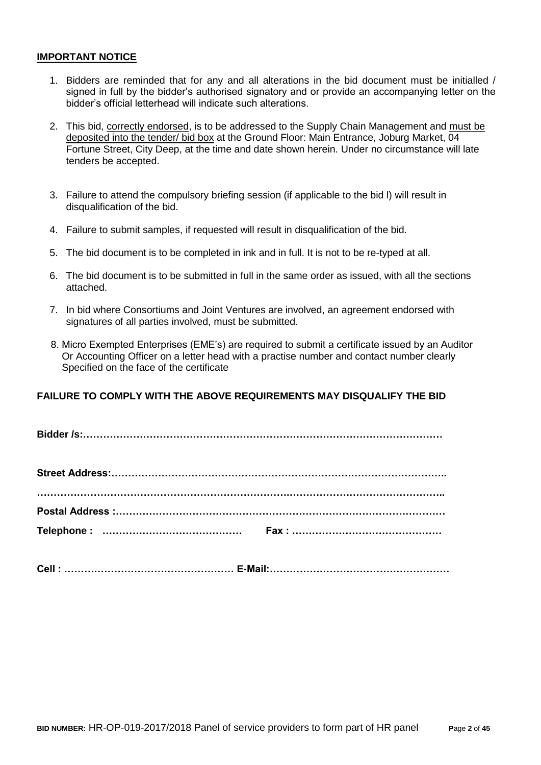#### **IMPORTANT NOTICE**

- 1. Bidders are reminded that for any and all alterations in the bid document must be initialled / signed in full by the bidder's authorised signatory and or provide an accompanying letter on the bidder's official letterhead will indicate such alterations.
- 2. This bid, correctly endorsed, is to be addressed to the Supply Chain Management and must be deposited into the tender/ bid box at the Ground Floor: Main Entrance, Joburg Market, 04 Fortune Street, City Deep, at the time and date shown herein. Under no circumstance will late tenders be accepted.
- 3. Failure to attend the compulsory briefing session (if applicable to the bid l) will result in disqualification of the bid.
- 4. Failure to submit samples, if requested will result in disqualification of the bid.
- 5. The bid document is to be completed in ink and in full. It is not to be re-typed at all.
- 6. The bid document is to be submitted in full in the same order as issued, with all the sections attached.
- 7. In bid where Consortiums and Joint Ventures are involved, an agreement endorsed with signatures of all parties involved, must be submitted.
- 8. Micro Exempted Enterprises (EME's) are required to submit a certificate issued by an Auditor Or Accounting Officer on a letter head with a practise number and contact number clearly Specified on the face of the certificate

## **FAILURE TO COMPLY WITH THE ABOVE REQUIREMENTS MAY DISQUALIFY THE BID**

**Bidder /s:………………………………………………………………………………………………**

|  | Cell:………………………………………………… E-Mail:………………………………………………… |
|--|-----------------------------------------------------|
|  |                                                     |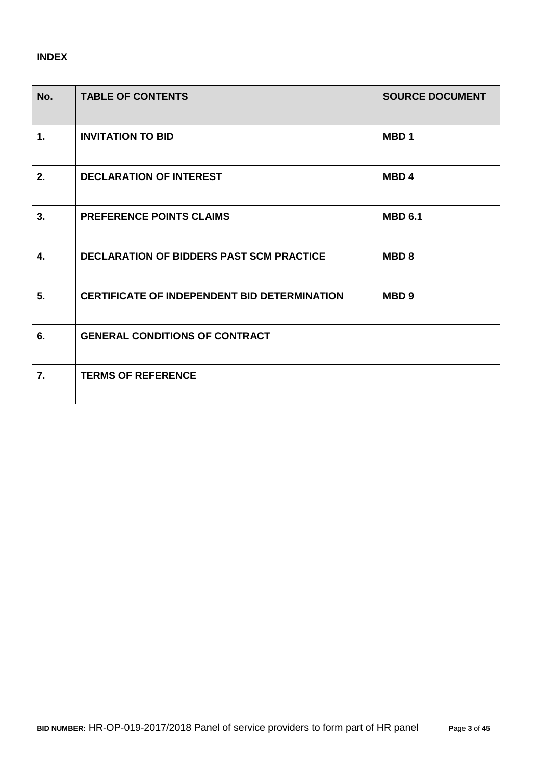# **INDEX**

| No. | <b>TABLE OF CONTENTS</b>                            | <b>SOURCE DOCUMENT</b> |
|-----|-----------------------------------------------------|------------------------|
| 1.  | <b>INVITATION TO BID</b>                            | MBD <sub>1</sub>       |
| 2.  | <b>DECLARATION OF INTEREST</b>                      | MBD <sub>4</sub>       |
| 3.  | <b>PREFERENCE POINTS CLAIMS</b>                     | <b>MBD 6.1</b>         |
| 4.  | <b>DECLARATION OF BIDDERS PAST SCM PRACTICE</b>     | MBD <sub>8</sub>       |
| 5.  | <b>CERTIFICATE OF INDEPENDENT BID DETERMINATION</b> | MBD <sub>9</sub>       |
| 6.  | <b>GENERAL CONDITIONS OF CONTRACT</b>               |                        |
| 7.  | <b>TERMS OF REFERENCE</b>                           |                        |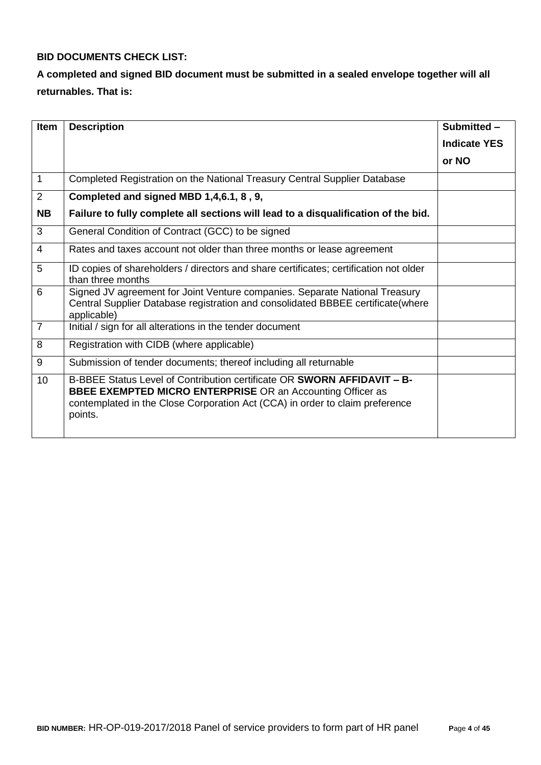## **BID DOCUMENTS CHECK LIST:**

# **A completed and signed BID document must be submitted in a sealed envelope together will all returnables. That is:**

| <b>Item</b>    | <b>Description</b>                                                                                                                                                                                                                      | Submitted-          |
|----------------|-----------------------------------------------------------------------------------------------------------------------------------------------------------------------------------------------------------------------------------------|---------------------|
|                |                                                                                                                                                                                                                                         | <b>Indicate YES</b> |
|                |                                                                                                                                                                                                                                         | or NO               |
| 1              | Completed Registration on the National Treasury Central Supplier Database                                                                                                                                                               |                     |
| 2              | Completed and signed MBD 1,4,6.1, 8, 9,                                                                                                                                                                                                 |                     |
| <b>NB</b>      | Failure to fully complete all sections will lead to a disqualification of the bid.                                                                                                                                                      |                     |
| 3              | General Condition of Contract (GCC) to be signed                                                                                                                                                                                        |                     |
| $\overline{4}$ | Rates and taxes account not older than three months or lease agreement                                                                                                                                                                  |                     |
| 5              | ID copies of shareholders / directors and share certificates; certification not older<br>than three months                                                                                                                              |                     |
| 6              | Signed JV agreement for Joint Venture companies. Separate National Treasury<br>Central Supplier Database registration and consolidated BBBEE certificate(where<br>applicable)                                                           |                     |
| $\overline{7}$ | Initial / sign for all alterations in the tender document                                                                                                                                                                               |                     |
| 8              | Registration with CIDB (where applicable)                                                                                                                                                                                               |                     |
| 9              | Submission of tender documents; thereof including all returnable                                                                                                                                                                        |                     |
| 10             | B-BBEE Status Level of Contribution certificate OR SWORN AFFIDAVIT - B-<br><b>BBEE EXEMPTED MICRO ENTERPRISE OR an Accounting Officer as</b><br>contemplated in the Close Corporation Act (CCA) in order to claim preference<br>points. |                     |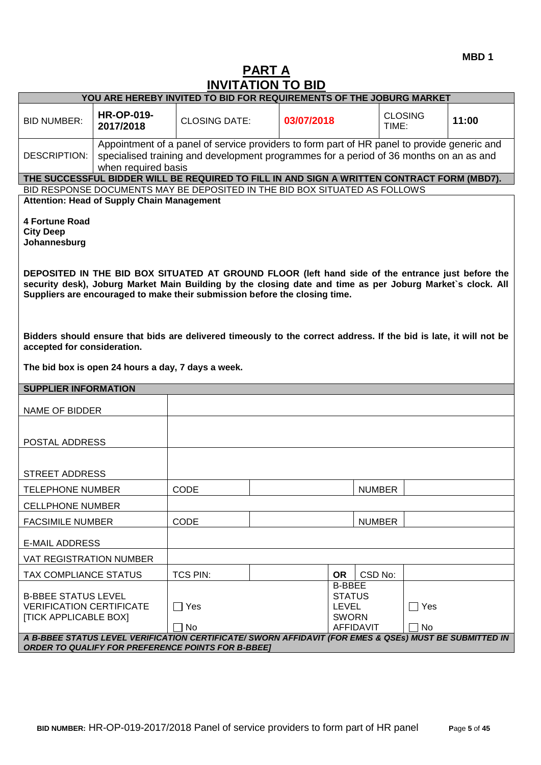# **PART A INVITATION TO BID**

|                                                                                                                                                                                                         | YOU ARE HEREBY INVITED TO BID FOR REQUIREMENTS OF THE JOBURG MARKET |                                                                                                                                                                                                                                                                                               |              |                                |                |       |
|---------------------------------------------------------------------------------------------------------------------------------------------------------------------------------------------------------|---------------------------------------------------------------------|-----------------------------------------------------------------------------------------------------------------------------------------------------------------------------------------------------------------------------------------------------------------------------------------------|--------------|--------------------------------|----------------|-------|
| <b>BID NUMBER:</b>                                                                                                                                                                                      | <b>HR-OP-019-</b><br>2017/2018                                      | <b>CLOSING DATE:</b>                                                                                                                                                                                                                                                                          | 03/07/2018   | TIME:                          | <b>CLOSING</b> | 11:00 |
|                                                                                                                                                                                                         |                                                                     | Appointment of a panel of service providers to form part of HR panel to provide generic and                                                                                                                                                                                                   |              |                                |                |       |
| <b>DESCRIPTION:</b>                                                                                                                                                                                     | when required basis                                                 | specialised training and development programmes for a period of 36 months on an as and                                                                                                                                                                                                        |              |                                |                |       |
|                                                                                                                                                                                                         |                                                                     | THE SUCCESSFUL BIDDER WILL BE REQUIRED TO FILL IN AND SIGN A WRITTEN CONTRACT FORM (MBD7).                                                                                                                                                                                                    |              |                                |                |       |
|                                                                                                                                                                                                         | <b>Attention: Head of Supply Chain Management</b>                   | BID RESPONSE DOCUMENTS MAY BE DEPOSITED IN THE BID BOX SITUATED AS FOLLOWS                                                                                                                                                                                                                    |              |                                |                |       |
| <b>4 Fortune Road</b><br><b>City Deep</b><br>Johannesburg                                                                                                                                               |                                                                     |                                                                                                                                                                                                                                                                                               |              |                                |                |       |
|                                                                                                                                                                                                         |                                                                     | DEPOSITED IN THE BID BOX SITUATED AT GROUND FLOOR (left hand side of the entrance just before the<br>security desk), Joburg Market Main Building by the closing date and time as per Joburg Market's clock. All<br>Suppliers are encouraged to make their submission before the closing time. |              |                                |                |       |
| Bidders should ensure that bids are delivered timeously to the correct address. If the bid is late, it will not be<br>accepted for consideration.<br>The bid box is open 24 hours a day, 7 days a week. |                                                                     |                                                                                                                                                                                                                                                                                               |              |                                |                |       |
| <b>SUPPLIER INFORMATION</b>                                                                                                                                                                             |                                                                     |                                                                                                                                                                                                                                                                                               |              |                                |                |       |
| NAME OF BIDDER                                                                                                                                                                                          |                                                                     |                                                                                                                                                                                                                                                                                               |              |                                |                |       |
| POSTAL ADDRESS                                                                                                                                                                                          |                                                                     |                                                                                                                                                                                                                                                                                               |              |                                |                |       |
|                                                                                                                                                                                                         |                                                                     |                                                                                                                                                                                                                                                                                               |              |                                |                |       |
| <b>STREET ADDRESS</b>                                                                                                                                                                                   |                                                                     |                                                                                                                                                                                                                                                                                               |              |                                |                |       |
| <b>TELEPHONE NUMBER</b>                                                                                                                                                                                 |                                                                     | CODE                                                                                                                                                                                                                                                                                          |              | <b>NUMBER</b>                  |                |       |
| <b>CELLPHONE NUMBER</b>                                                                                                                                                                                 |                                                                     |                                                                                                                                                                                                                                                                                               |              |                                |                |       |
| <b>FACSIMILE NUMBER</b>                                                                                                                                                                                 |                                                                     | <b>CODE</b>                                                                                                                                                                                                                                                                                   |              | <b>NUMBER</b>                  |                |       |
|                                                                                                                                                                                                         | <b>E-MAIL ADDRESS</b>                                               |                                                                                                                                                                                                                                                                                               |              |                                |                |       |
| <b>VAT REGISTRATION NUMBER</b>                                                                                                                                                                          |                                                                     |                                                                                                                                                                                                                                                                                               |              |                                |                |       |
| <b>TAX COMPLIANCE STATUS</b>                                                                                                                                                                            |                                                                     | <b>TCS PIN:</b>                                                                                                                                                                                                                                                                               | <b>OR</b>    | CSD No:                        |                |       |
| <b>B-BBEE STATUS LEVEL</b>                                                                                                                                                                              |                                                                     |                                                                                                                                                                                                                                                                                               |              | <b>B-BBEE</b><br><b>STATUS</b> |                |       |
| <b>VERIFICATION CERTIFICATE</b><br><b>[TICK APPLICABLE BOX]</b>                                                                                                                                         |                                                                     | ヿ Yes                                                                                                                                                                                                                                                                                         | <b>LEVEL</b> | <b>SWORN</b>                   | ∏ Yes          |       |
|                                                                                                                                                                                                         |                                                                     | No                                                                                                                                                                                                                                                                                            |              | <b>AFFIDAVIT</b>               | N <sub>o</sub> |       |
| A B-BBEE STATUS LEVEL VERIFICATION CERTIFICATE/ SWORN AFFIDAVIT (FOR EMES & QSEs) MUST BE SUBMITTED IN<br><b>ORDER TO QUALIFY FOR PREFERENCE POINTS FOR B-BBEET</b>                                     |                                                                     |                                                                                                                                                                                                                                                                                               |              |                                |                |       |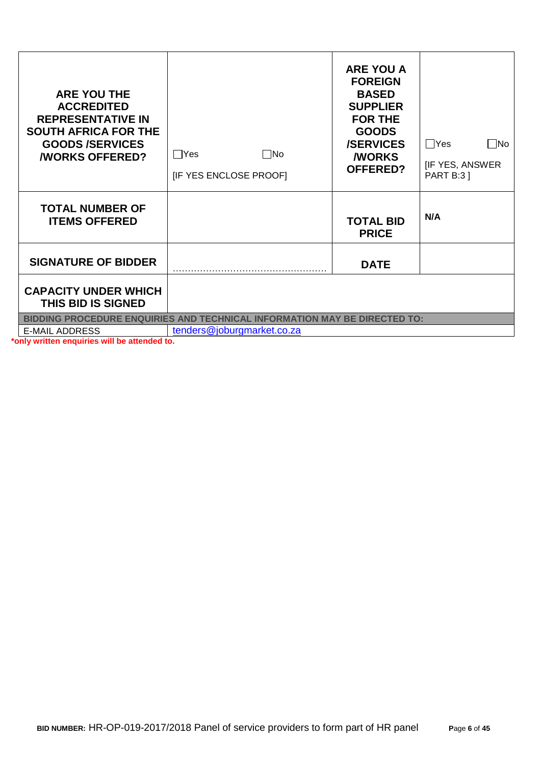| <b>ARE YOU THE</b><br><b>ACCREDITED</b><br><b>REPRESENTATIVE IN</b><br><b>SOUTH AFRICA FOR THE</b><br><b>GOODS/SERVICES</b><br><b><i>NORKS OFFERED?</i></b> | $\Box$ Yes<br>$\square$ No<br>[IF YES ENCLOSE PROOF] | <b>ARE YOU A</b><br><b>FOREIGN</b><br><b>BASED</b><br><b>SUPPLIER</b><br><b>FOR THE</b><br><b>GOODS</b><br><b>/SERVICES</b><br><b><i>NORKS</i></b><br><b>OFFERED?</b> | $\Box$ Yes<br>$\Box$ No<br><b>IF YES, ANSWER</b><br><b>PART B:3 ]</b> |
|-------------------------------------------------------------------------------------------------------------------------------------------------------------|------------------------------------------------------|-----------------------------------------------------------------------------------------------------------------------------------------------------------------------|-----------------------------------------------------------------------|
| <b>TOTAL NUMBER OF</b><br><b>ITEMS OFFERED</b>                                                                                                              |                                                      | <b>TOTAL BID</b><br><b>PRICE</b>                                                                                                                                      | N/A                                                                   |
| <b>SIGNATURE OF BIDDER</b>                                                                                                                                  |                                                      | <b>DATE</b>                                                                                                                                                           |                                                                       |
| <b>CAPACITY UNDER WHICH</b><br><b>THIS BID IS SIGNED</b>                                                                                                    |                                                      |                                                                                                                                                                       |                                                                       |
| BIDDING PROCEDURE ENQUIRIES AND TECHNICAL INFORMATION MAY BE DIRECTED TO:                                                                                   |                                                      |                                                                                                                                                                       |                                                                       |
| <b>E-MAIL ADDRESS</b><br>ply witten annululas will be stranded to                                                                                           | tenders@joburgmarket.co.za                           |                                                                                                                                                                       |                                                                       |

**\*only written enquiries will be attended to.**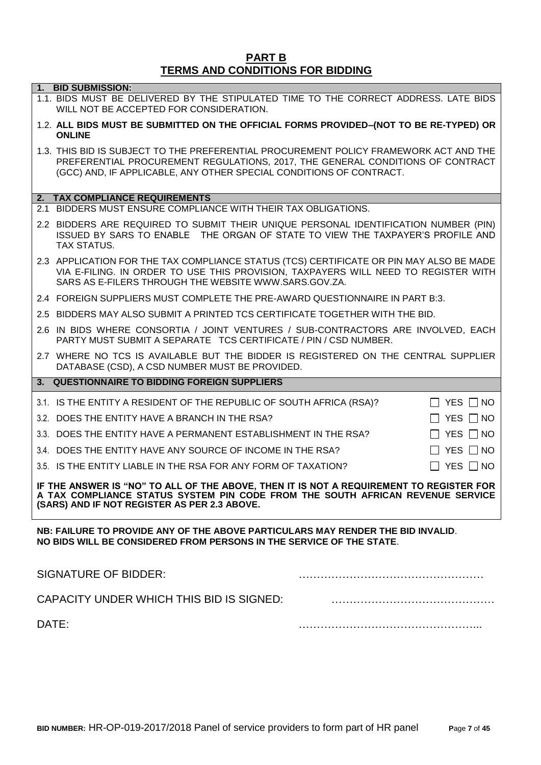#### **PART B TERMS AND CONDITIONS FOR BIDDING**

| 1. BID SUBMISSION:<br>1.1. BIDS MUST BE DELIVERED BY THE STIPULATED TIME TO THE CORRECT ADDRESS. LATE BIDS<br>WILL NOT BE ACCEPTED FOR CONSIDERATION.                                                                                          |
|------------------------------------------------------------------------------------------------------------------------------------------------------------------------------------------------------------------------------------------------|
| 1.2. ALL BIDS MUST BE SUBMITTED ON THE OFFICIAL FORMS PROVIDED-(NOT TO BE RE-TYPED) OR<br><b>ONLINE</b>                                                                                                                                        |
| 1.3. THIS BID IS SUBJECT TO THE PREFERENTIAL PROCUREMENT POLICY FRAMEWORK ACT AND THE<br>PREFERENTIAL PROCUREMENT REGULATIONS, 2017, THE GENERAL CONDITIONS OF CONTRACT<br>(GCC) AND, IF APPLICABLE, ANY OTHER SPECIAL CONDITIONS OF CONTRACT. |
| 2. TAX COMPLIANCE REQUIREMENTS                                                                                                                                                                                                                 |
| 2.1 BIDDERS MUST ENSURE COMPLIANCE WITH THEIR TAX OBLIGATIONS.                                                                                                                                                                                 |
| 2.2 BIDDERS ARE REQUIRED TO SUBMIT THEIR UNIQUE PERSONAL IDENTIFICATION NUMBER (PIN)<br>ISSUED BY SARS TO ENABLE THE ORGAN OF STATE TO VIEW THE TAXPAYER'S PROFILE AND<br><b>TAX STATUS.</b>                                                   |
| 2.3 APPLICATION FOR THE TAX COMPLIANCE STATUS (TCS) CERTIFICATE OR PIN MAY ALSO BE MADE<br>VIA E-FILING. IN ORDER TO USE THIS PROVISION, TAXPAYERS WILL NEED TO REGISTER WITH<br>SARS AS E-FILERS THROUGH THE WEBSITE WWW.SARS.GOV.ZA.         |
| 2.4 FOREIGN SUPPLIERS MUST COMPLETE THE PRE-AWARD QUESTIONNAIRE IN PART B:3.                                                                                                                                                                   |
| 2.5 BIDDERS MAY ALSO SUBMIT A PRINTED TCS CERTIFICATE TOGETHER WITH THE BID.                                                                                                                                                                   |
| 2.6 IN BIDS WHERE CONSORTIA / JOINT VENTURES / SUB-CONTRACTORS ARE INVOLVED, EACH<br>PARTY MUST SUBMIT A SEPARATE TCS CERTIFICATE / PIN / CSD NUMBER.                                                                                          |
| 2.7 WHERE NO TCS IS AVAILABLE BUT THE BIDDER IS REGISTERED ON THE CENTRAL SUPPLIER<br>DATABASE (CSD), A CSD NUMBER MUST BE PROVIDED.                                                                                                           |
| 3. QUESTIONNAIRE TO BIDDING FOREIGN SUPPLIERS                                                                                                                                                                                                  |
| 3.1. IS THE ENTITY A RESIDENT OF THE REPUBLIC OF SOUTH AFRICA (RSA)?<br>$\Box$ YES $\Box$ NO                                                                                                                                                   |
| 3.2. DOES THE ENTITY HAVE A BRANCH IN THE RSA?<br>$\Box$ YES $\Box$ NO                                                                                                                                                                         |
| YES $\Box$ NO<br>3.3. DOES THE ENTITY HAVE A PERMANENT ESTABLISHMENT IN THE RSA?                                                                                                                                                               |
| YES $\Box$ NO<br>3.4. DOES THE ENTITY HAVE ANY SOURCE OF INCOME IN THE RSA?                                                                                                                                                                    |
| $\Box$ YES $\Box$ NO<br>3.5. IS THE ENTITY LIABLE IN THE RSA FOR ANY FORM OF TAXATION?                                                                                                                                                         |
| IF THE ANSWER IS "NO" TO ALL OF THE ABOVE, THEN IT IS NOT A REQUIREMENT TO REGISTER FOR<br>A TAX COMPLIANCE STATUS SYSTEM PIN CODE FROM THE SOUTH AFRICAN REVENUE SERVICE<br>(SARS) AND IF NOT REGISTER AS PER 2.3 ABOVE.                      |
| NB: FAILURE TO PROVIDE ANY OF THE ABOVE PARTICULARS MAY RENDER THE BID INVALID.<br>NO BIDS WILL BE CONSIDERED FROM PERSONS IN THE SERVICE OF THE STATE.                                                                                        |
| <b>SIGNATURE OF BIDDER:</b>                                                                                                                                                                                                                    |
| CAPACITY UNDER WHICH THIS BID IS SIGNED:                                                                                                                                                                                                       |
| DATE:                                                                                                                                                                                                                                          |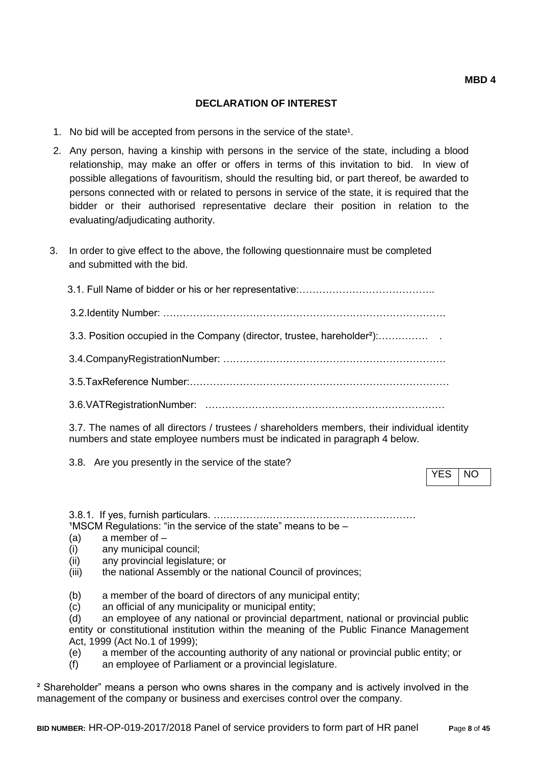#### **DECLARATION OF INTEREST**

- 1. No bid will be accepted from persons in the service of the state<sup>1</sup>.
- 2. Any person, having a kinship with persons in the service of the state, including a blood relationship, may make an offer or offers in terms of this invitation to bid. In view of possible allegations of favouritism, should the resulting bid, or part thereof, be awarded to persons connected with or related to persons in service of the state, it is required that the bidder or their authorised representative declare their position in relation to the evaluating/adjudicating authority.
- 3. In order to give effect to the above, the following questionnaire must be completed and submitted with the bid.

 3.1. Full Name of bidder or his or her representative:………………………………….. 3.2.Identity Number: …………………………………………………………………………. 3.3. Position occupied in the Company (director, trustee, hareholder²):…………… . 3.4.CompanyRegistrationNumber: …………………………………………………………. 3.5.TaxReference Number:…………………………………………………………………… 3.6.VATRegistrationNumber: ………………………………………………………………

3.7. The names of all directors / trustees / shareholders members, their individual identity numbers and state employee numbers must be indicated in paragraph 4 below.

3.8. Are you presently in the service of the state?

YES INO

3.8.1. If yes, furnish particulars. ….…………………………………………………  $1$ MSCM Regulations: "in the service of the state" means to be  $-$ 

- (a) a member of –
- (i) any municipal council;
- (ii) any provincial legislature; or
- (iii) the national Assembly or the national Council of provinces;
- (b) a member of the board of directors of any municipal entity;
- (c) an official of any municipality or municipal entity;
- (d) an employee of any national or provincial department, national or provincial public entity or constitutional institution within the meaning of the Public Finance Management Act, 1999 (Act No.1 of 1999);
- (e) a member of the accounting authority of any national or provincial public entity; or
- (f) an employee of Parliament or a provincial legislature.

² Shareholder" means a person who owns shares in the company and is actively involved in the management of the company or business and exercises control over the company.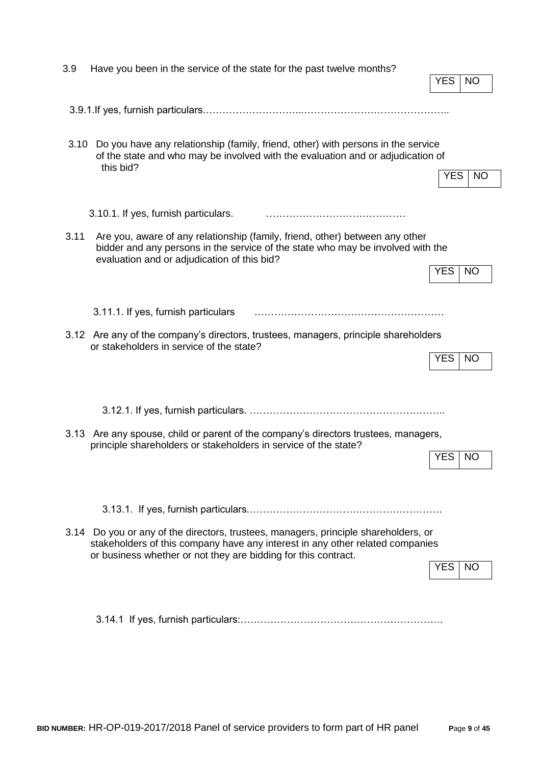| 3.9  | Have you been in the service of the state for the past twelve months?                                                                                                                                                                  | <b>YES</b><br>NO.       |
|------|----------------------------------------------------------------------------------------------------------------------------------------------------------------------------------------------------------------------------------------|-------------------------|
|      |                                                                                                                                                                                                                                        |                         |
| 3.10 | Do you have any relationship (family, friend, other) with persons in the service<br>of the state and who may be involved with the evaluation and or adjudication of<br>this bid?                                                       | <b>YES</b><br><b>NO</b> |
|      | 3.10.1. If yes, furnish particulars.                                                                                                                                                                                                   |                         |
| 3.11 | Are you, aware of any relationship (family, friend, other) between any other<br>bidder and any persons in the service of the state who may be involved with the<br>evaluation and or adjudication of this bid?                         | <b>YES</b><br><b>NO</b> |
|      |                                                                                                                                                                                                                                        |                         |
|      | 3.11.1. If yes, furnish particulars                                                                                                                                                                                                    |                         |
|      | 3.12 Are any of the company's directors, trustees, managers, principle shareholders<br>or stakeholders in service of the state?                                                                                                        | <b>YES</b><br><b>NO</b> |
|      |                                                                                                                                                                                                                                        |                         |
|      | 3.13 Are any spouse, child or parent of the company's directors trustees, managers,<br>principle shareholders or stakeholders in service of the state?                                                                                 | <b>YES</b><br><b>NO</b> |
|      |                                                                                                                                                                                                                                        |                         |
|      | 3.14 Do you or any of the directors, trustees, managers, principle shareholders, or<br>stakeholders of this company have any interest in any other related companies<br>or business whether or not they are bidding for this contract. | <b>YES</b><br><b>NO</b> |
|      |                                                                                                                                                                                                                                        |                         |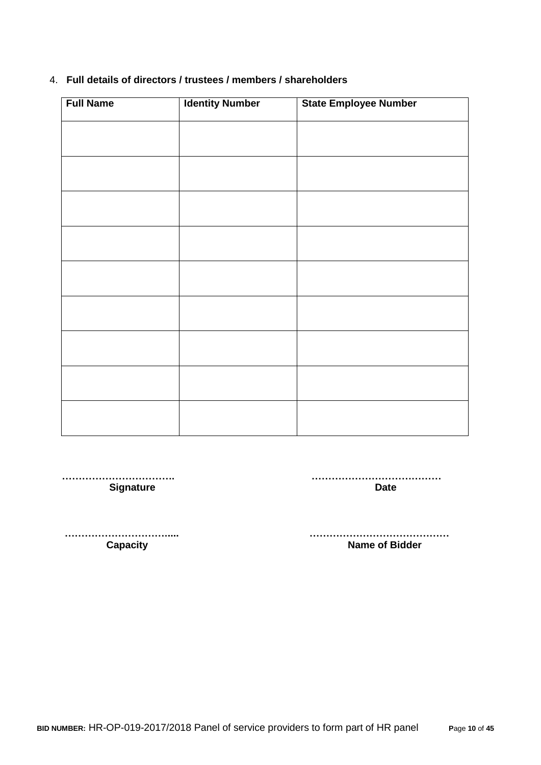| <b>Full Name</b> | <b>Identity Number</b> | <b>State Employee Number</b> |
|------------------|------------------------|------------------------------|
|                  |                        |                              |
|                  |                        |                              |
|                  |                        |                              |
|                  |                        |                              |
|                  |                        |                              |
|                  |                        |                              |
|                  |                        |                              |
|                  |                        |                              |
|                  |                        |                              |
|                  |                        |                              |
|                  |                        |                              |
|                  |                        |                              |
|                  |                        |                              |

#### 4. **Full details of directors / trustees / members / shareholders**

 **……………………………. …………………………………** Signature **Date** 

 **…………………………..... …………………………………… Name of Bidder**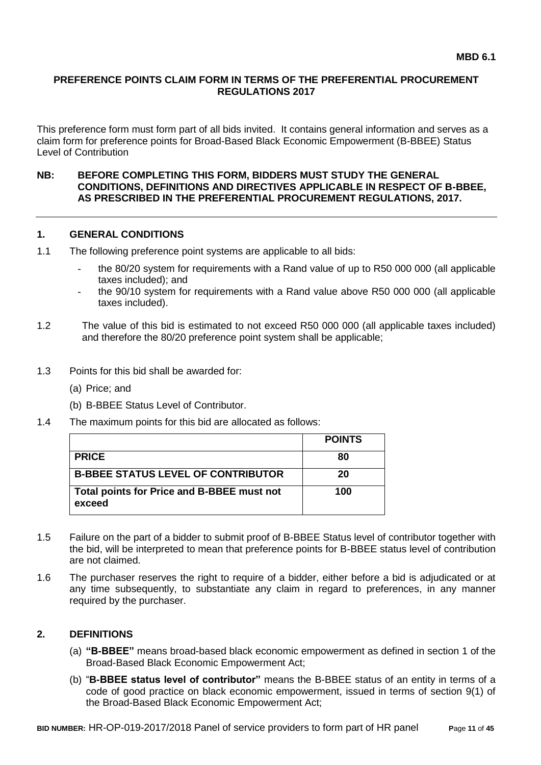## **PREFERENCE POINTS CLAIM FORM IN TERMS OF THE PREFERENTIAL PROCUREMENT REGULATIONS 2017**

This preference form must form part of all bids invited. It contains general information and serves as a claim form for preference points for Broad-Based Black Economic Empowerment (B-BBEE) Status Level of Contribution

#### **NB: BEFORE COMPLETING THIS FORM, BIDDERS MUST STUDY THE GENERAL CONDITIONS, DEFINITIONS AND DIRECTIVES APPLICABLE IN RESPECT OF B-BBEE, AS PRESCRIBED IN THE PREFERENTIAL PROCUREMENT REGULATIONS, 2017.**

## **1. GENERAL CONDITIONS**

- 1.1 The following preference point systems are applicable to all bids:
	- the 80/20 system for requirements with a Rand value of up to R50 000 000 (all applicable taxes included); and
	- the 90/10 system for requirements with a Rand value above R50 000 000 (all applicable taxes included).
- 1.2 The value of this bid is estimated to not exceed R50 000 000 (all applicable taxes included) and therefore the 80/20 preference point system shall be applicable;
- 1.3 Points for this bid shall be awarded for:
	- (a) Price; and
	- (b) B-BBEE Status Level of Contributor.
- 1.4 The maximum points for this bid are allocated as follows:

|                                                      | <b>POINTS</b> |
|------------------------------------------------------|---------------|
| <b>PRICE</b>                                         | 80            |
| <b>B-BBEE STATUS LEVEL OF CONTRIBUTOR</b>            | 20            |
| Total points for Price and B-BBEE must not<br>exceed | 100           |

- 1.5 Failure on the part of a bidder to submit proof of B-BBEE Status level of contributor together with the bid, will be interpreted to mean that preference points for B-BBEE status level of contribution are not claimed.
- 1.6 The purchaser reserves the right to require of a bidder, either before a bid is adjudicated or at any time subsequently, to substantiate any claim in regard to preferences, in any manner required by the purchaser.

## **2. DEFINITIONS**

- (a) **"B-BBEE"** means broad-based black economic empowerment as defined in section 1 of the Broad-Based Black Economic Empowerment Act;
- (b) "**B-BBEE status level of contributor"** means the B-BBEE status of an entity in terms of a code of good practice on black economic empowerment, issued in terms of section 9(1) of the Broad-Based Black Economic Empowerment Act;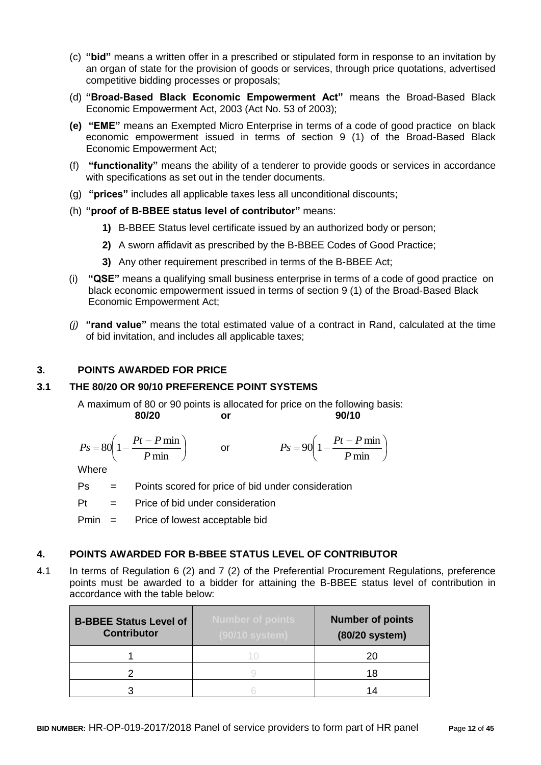- (c) **"bid"** means a written offer in a prescribed or stipulated form in response to an invitation by an organ of state for the provision of goods or services, through price quotations, advertised competitive bidding processes or proposals;
- (d) **"Broad-Based Black Economic Empowerment Act"** means the Broad-Based Black Economic Empowerment Act, 2003 (Act No. 53 of 2003);
- **(e) "EME"** means an Exempted Micro Enterprise in terms of a code of good practice on black economic empowerment issued in terms of section 9 (1) of the Broad-Based Black Economic Empowerment Act;
- (f) **"functionality"** means the ability of a tenderer to provide goods or services in accordance with specifications as set out in the tender documents.
- (g) **"prices"** includes all applicable taxes less all unconditional discounts;
- (h) **"proof of B-BBEE status level of contributor"** means:
	- **1)** B-BBEE Status level certificate issued by an authorized body or person;
	- **2)** A sworn affidavit as prescribed by the B-BBEE Codes of Good Practice;
	- **3)** Any other requirement prescribed in terms of the B-BBEE Act;
- (i) **"QSE"** means a qualifying small business enterprise in terms of a code of good practice on black economic empowerment issued in terms of section 9 (1) of the Broad-Based Black Economic Empowerment Act;
- *(j)* **"rand value"** means the total estimated value of a contract in Rand, calculated at the time of bid invitation, and includes all applicable taxes;

## **3. POINTS AWARDED FOR PRICE**

## **3.1 THE 80/20 OR 90/10 PREFERENCE POINT SYSTEMS**

A maximum of 80 or 90 points is allocated for price on the following basis: **80/20 or 90/10**

$$
Ps = 80\left(1 - \frac{Pt - P \min}{P \min}\right) \qquad \text{or} \qquad \qquad Ps = 90\left(1 - \frac{Pt - P \min}{P \min}\right)
$$

**Where** 

- Ps = Points scored for price of bid under consideration
- $Pt =$  Price of bid under consideration

Pmin = Price of lowest acceptable bid

## **4. POINTS AWARDED FOR B-BBEE STATUS LEVEL OF CONTRIBUTOR**

4.1 In terms of Regulation 6 (2) and 7 (2) of the Preferential Procurement Regulations, preference points must be awarded to a bidder for attaining the B-BBEE status level of contribution in accordance with the table below:

| <b>B-BBEE Status Level of</b><br><b>Contributor</b> | <b>Number of points</b><br>(90/10 system) | <b>Number of points</b><br>(80/20 system) |
|-----------------------------------------------------|-------------------------------------------|-------------------------------------------|
|                                                     |                                           | 20                                        |
|                                                     |                                           | 18                                        |
|                                                     |                                           | 1⊿                                        |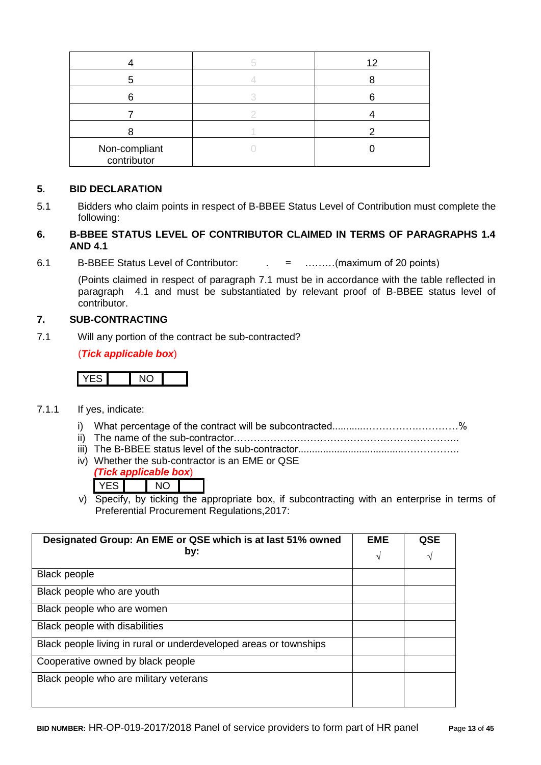|                              | 12 |
|------------------------------|----|
|                              |    |
|                              |    |
|                              |    |
|                              |    |
| Non-compliant<br>contributor |    |

## **5. BID DECLARATION**

5.1 Bidders who claim points in respect of B-BBEE Status Level of Contribution must complete the following:

## **6. B-BBEE STATUS LEVEL OF CONTRIBUTOR CLAIMED IN TERMS OF PARAGRAPHS 1.4 AND 4.1**

6.1 B-BBEE Status Level of Contributor: . = ………(maximum of 20 points)

(Points claimed in respect of paragraph 7.1 must be in accordance with the table reflected in paragraph 4.1 and must be substantiated by relevant proof of B-BBEE status level of contributor.

## **7. SUB-CONTRACTING**

7.1 Will any portion of the contract be sub-contracted?

(*Tick applicable box*)

# YES NO

- 7.1.1 If yes, indicate:
	- i) What percentage of the contract will be subcontracted............…………….…………%
	- ii) The name of the sub-contractor…………………………………………………………..
	- iii) The B-BBEE status level of the sub-contractor......................................……………..
	- iv) Whether the sub-contractor is an EME or QSE
		- *(Tick applicable box*) YES NO
	- v) Specify, by ticking the appropriate box, if subcontracting with an enterprise in terms of Preferential Procurement Regulations,2017:

| Designated Group: An EME or QSE which is at last 51% owned        | <b>EME</b> | QSE |
|-------------------------------------------------------------------|------------|-----|
| by:                                                               | V          | V   |
| <b>Black people</b>                                               |            |     |
| Black people who are youth                                        |            |     |
| Black people who are women                                        |            |     |
| Black people with disabilities                                    |            |     |
| Black people living in rural or underdeveloped areas or townships |            |     |
| Cooperative owned by black people                                 |            |     |
| Black people who are military veterans                            |            |     |
|                                                                   |            |     |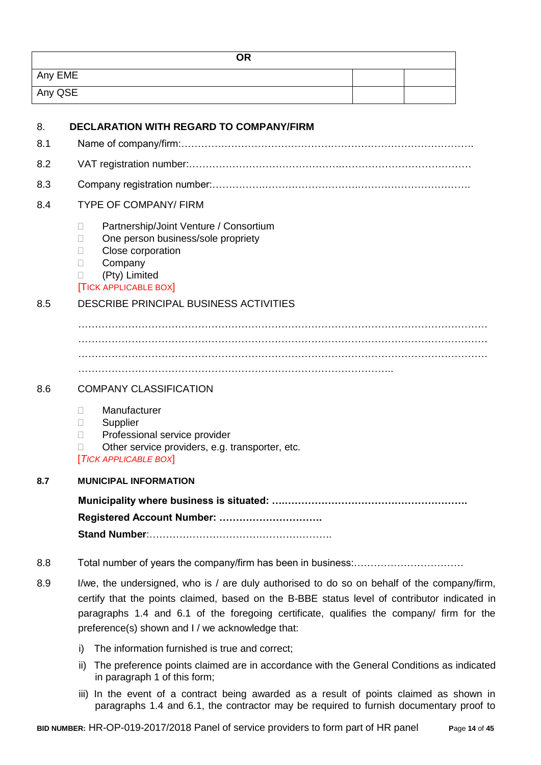| <b>OR</b> |  |
|-----------|--|
| Any EME   |  |
| Any QSE   |  |

| 8.  | <b>DECLARATION WITH REGARD TO COMPANY/FIRM</b>                                                                                                                                                                                                                                                                                              |
|-----|---------------------------------------------------------------------------------------------------------------------------------------------------------------------------------------------------------------------------------------------------------------------------------------------------------------------------------------------|
| 8.1 |                                                                                                                                                                                                                                                                                                                                             |
| 8.2 |                                                                                                                                                                                                                                                                                                                                             |
| 8.3 |                                                                                                                                                                                                                                                                                                                                             |
| 8.4 | <b>TYPE OF COMPANY/ FIRM</b>                                                                                                                                                                                                                                                                                                                |
|     | Partnership/Joint Venture / Consortium<br>П<br>One person business/sole propriety<br>Ш<br>Close corporation<br>$\mathbb{R}^n$<br>Company<br>П<br>(Pty) Limited<br><b>TICK APPLICABLE BOX</b>                                                                                                                                                |
| 8.5 | <b>DESCRIBE PRINCIPAL BUSINESS ACTIVITIES</b>                                                                                                                                                                                                                                                                                               |
|     |                                                                                                                                                                                                                                                                                                                                             |
| 8.6 | <b>COMPANY CLASSIFICATION</b>                                                                                                                                                                                                                                                                                                               |
|     | Manufacturer<br>П<br>Supplier<br>$\mathbf{L}$<br>Professional service provider<br>П<br>Other service providers, e.g. transporter, etc.<br><b>TICK APPLICABLE BOX</b>                                                                                                                                                                        |
| 8.7 | <b>MUNICIPAL INFORMATION</b>                                                                                                                                                                                                                                                                                                                |
|     | Registered Account Number:                                                                                                                                                                                                                                                                                                                  |
| 8.8 |                                                                                                                                                                                                                                                                                                                                             |
| 8.9 | I/we, the undersigned, who is / are duly authorised to do so on behalf of the company/firm,<br>certify that the points claimed, based on the B-BBE status level of contributor indicated in<br>paragraphs 1.4 and 6.1 of the foregoing certificate, qualifies the company/ firm for the<br>preference(s) shown and I / we acknowledge that: |

- i) The information furnished is true and correct;
- ii) The preference points claimed are in accordance with the General Conditions as indicated in paragraph 1 of this form;
- iii) In the event of a contract being awarded as a result of points claimed as shown in paragraphs 1.4 and 6.1, the contractor may be required to furnish documentary proof to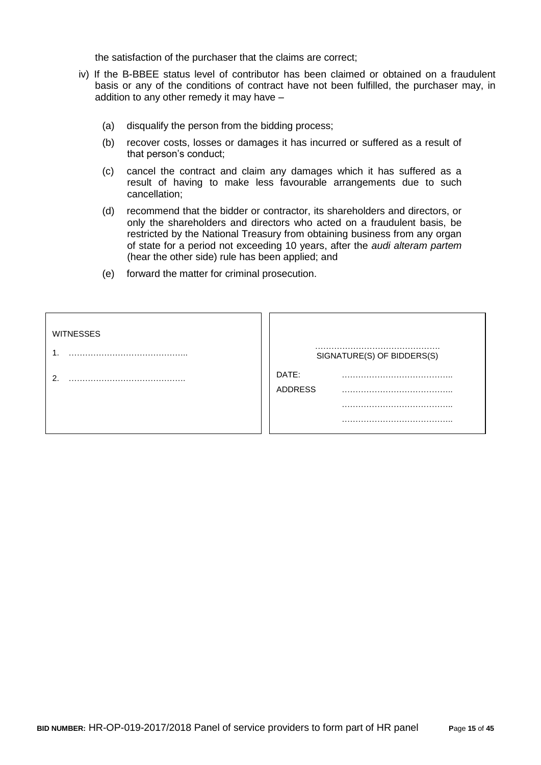the satisfaction of the purchaser that the claims are correct;

- iv) If the B-BBEE status level of contributor has been claimed or obtained on a fraudulent basis or any of the conditions of contract have not been fulfilled, the purchaser may, in addition to any other remedy it may have –
	- (a) disqualify the person from the bidding process;
	- (b) recover costs, losses or damages it has incurred or suffered as a result of that person's conduct;
	- (c) cancel the contract and claim any damages which it has suffered as a result of having to make less favourable arrangements due to such cancellation;
	- (d) recommend that the bidder or contractor, its shareholders and directors, or only the shareholders and directors who acted on a fraudulent basis, be restricted by the National Treasury from obtaining business from any organ of state for a period not exceeding 10 years, after the *audi alteram partem* (hear the other side) rule has been applied; and
	- (e) forward the matter for criminal prosecution.

| <b>WITNESSES</b> | SIGNATURE(S) OF BIDDERS(S) |
|------------------|----------------------------|
|                  | DATE:<br><b>ADDRESS</b>    |
|                  |                            |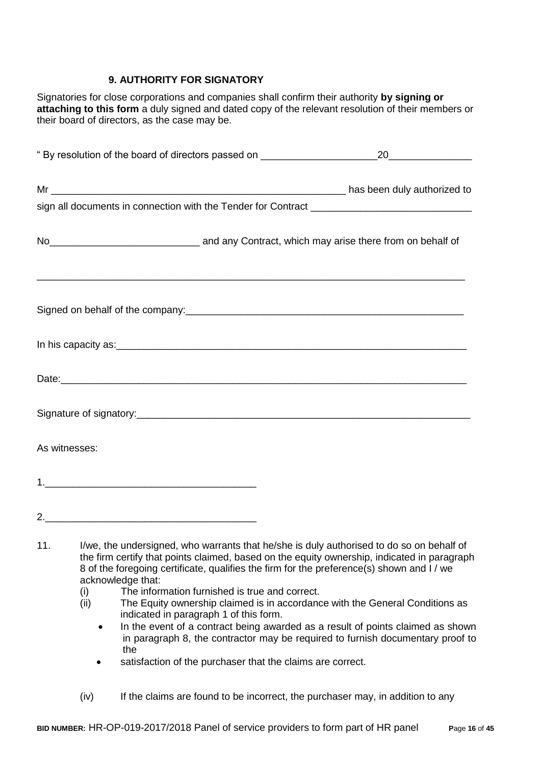## **9. AUTHORITY FOR SIGNATORY**

Signatories for close corporations and companies shall confirm their authority **by signing or attaching to this form** a duly signed and dated copy of the relevant resolution of their members or their board of directors, as the case may be.

|     | " By resolution of the board of directors passed on <b>Fig. 1.1 Aprox</b> 2.1 Aprox 2.1 Aprox 2.1 Aprox 2.1 Aprox 2.1 Aprox 2.1 Aprox 2.1 Aprox 2.1 Aprox 2.1 Aprox 2.1 Aprox 2.1 Aprox 2.1 Aprox 2.1 Aprox 2.1 Aprox 2.1 Aprox 2.1                                                | 20 |
|-----|------------------------------------------------------------------------------------------------------------------------------------------------------------------------------------------------------------------------------------------------------------------------------------|----|
|     |                                                                                                                                                                                                                                                                                    |    |
|     |                                                                                                                                                                                                                                                                                    |    |
|     |                                                                                                                                                                                                                                                                                    |    |
|     | ,我们的人们就会在这里的人们,我们的人们就会在这里,我们的人们就会在这里,我们的人们就会在这里,我们的人们就会在这里,我们的人们就会在这里,我们的人们就会在这里<br>Signed on behalf of the company:<br>Signed on behalf of the company:                                                                                                                           |    |
|     |                                                                                                                                                                                                                                                                                    |    |
|     |                                                                                                                                                                                                                                                                                    |    |
|     |                                                                                                                                                                                                                                                                                    |    |
|     | As witnesses:                                                                                                                                                                                                                                                                      |    |
|     |                                                                                                                                                                                                                                                                                    |    |
|     |                                                                                                                                                                                                                                                                                    |    |
| 11. | I/we, the undersigned, who warrants that he/she is duly authorised to do so on behalf of<br>the firm certify that points claimed, based on the equity ownership, indicated in paragraph<br>8 of the foregoing certificate, qualifies the firm for the preference(s) shown and I/we |    |

- acknowledge that:
- (i) The information furnished is true and correct.
- (ii) The Equity ownership claimed is in accordance with the General Conditions as indicated in paragraph 1 of this form.
	- In the event of a contract being awarded as a result of points claimed as shown in paragraph 8, the contractor may be required to furnish documentary proof to the
	- satisfaction of the purchaser that the claims are correct.
- (iv) If the claims are found to be incorrect, the purchaser may, in addition to any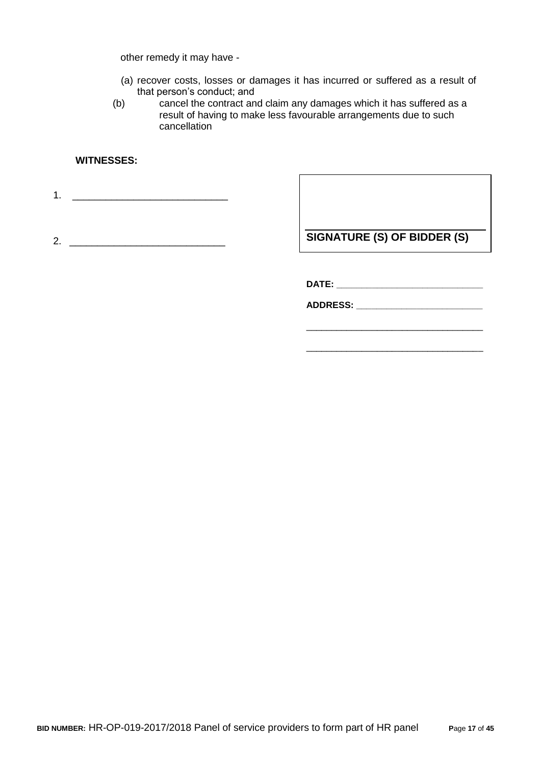other remedy it may have -

- (a) recover costs, losses or damages it has incurred or suffered as a result of that person's conduct; and
- (b) cancel the contract and claim any damages which it has suffered as a result of having to make less favourable arrangements due to such cancellation

## **WITNESSES:**

1. \_\_\_\_\_\_\_\_\_\_\_\_\_\_\_\_\_\_\_\_\_\_\_\_\_\_\_\_

2. \_\_\_\_\_\_\_\_\_\_\_\_\_\_\_\_\_\_\_\_\_\_\_\_\_\_\_\_

**SIGNATURE (S) OF BIDDER (S)**

\_\_\_\_\_\_\_\_\_\_\_\_\_\_\_\_\_\_\_\_\_\_\_\_\_\_\_\_\_\_\_\_\_\_\_

\_\_\_\_\_\_\_\_\_\_\_\_\_\_\_\_\_\_\_\_\_\_\_\_\_\_\_\_\_\_\_\_\_\_\_

**DATE: \_\_\_\_\_\_\_\_\_\_\_\_\_\_\_\_\_\_\_\_\_\_\_\_\_\_\_\_\_**

**ADDRESS: \_\_\_\_\_\_\_\_\_\_\_\_\_\_\_\_\_\_\_\_\_\_\_\_\_**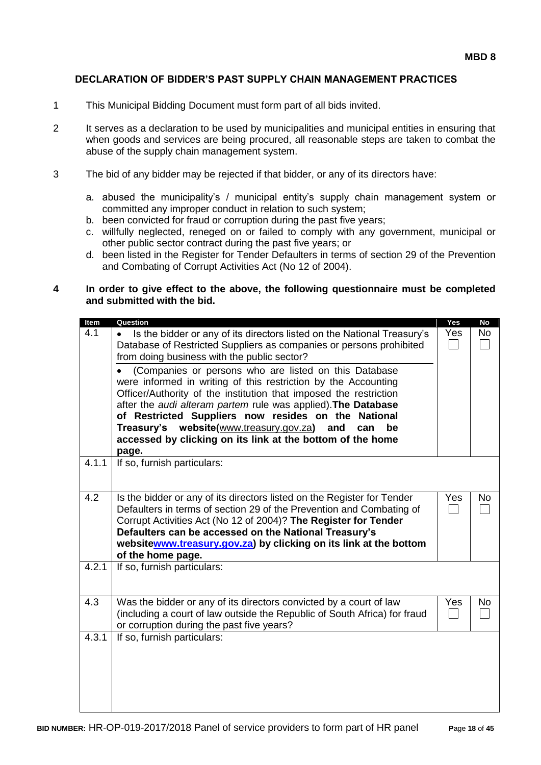#### **DECLARATION OF BIDDER'S PAST SUPPLY CHAIN MANAGEMENT PRACTICES**

- 1 This Municipal Bidding Document must form part of all bids invited.
- 2 It serves as a declaration to be used by municipalities and municipal entities in ensuring that when goods and services are being procured, all reasonable steps are taken to combat the abuse of the supply chain management system.
- 3 The bid of any bidder may be rejected if that bidder, or any of its directors have:
	- a. abused the municipality's / municipal entity's supply chain management system or committed any improper conduct in relation to such system;
	- b. been convicted for fraud or corruption during the past five years;
	- c. willfully neglected, reneged on or failed to comply with any government, municipal or other public sector contract during the past five years; or
	- d. been listed in the Register for Tender Defaulters in terms of section 29 of the Prevention and Combating of Corrupt Activities Act (No 12 of 2004).

#### **4 In order to give effect to the above, the following questionnaire must be completed and submitted with the bid.**

| Item  | Question                                                                                                                                                                                                                                                                                                                                                                                                                                                             | Yes | <b>No</b> |
|-------|----------------------------------------------------------------------------------------------------------------------------------------------------------------------------------------------------------------------------------------------------------------------------------------------------------------------------------------------------------------------------------------------------------------------------------------------------------------------|-----|-----------|
| 4.1   | Is the bidder or any of its directors listed on the National Treasury's<br>Database of Restricted Suppliers as companies or persons prohibited<br>from doing business with the public sector?                                                                                                                                                                                                                                                                        | Yes | No        |
|       | (Companies or persons who are listed on this Database<br>were informed in writing of this restriction by the Accounting<br>Officer/Authority of the institution that imposed the restriction<br>after the audi alteram partem rule was applied). The Database<br>of Restricted Suppliers now resides on the<br><b>National</b><br>Treasury's website(www.treasury.gov.za)<br>and<br>can<br>be<br>accessed by clicking on its link at the bottom of the home<br>page. |     |           |
| 4.1.1 | If so, furnish particulars:                                                                                                                                                                                                                                                                                                                                                                                                                                          |     |           |
| 4.2   | Is the bidder or any of its directors listed on the Register for Tender<br>Defaulters in terms of section 29 of the Prevention and Combating of<br>Corrupt Activities Act (No 12 of 2004)? The Register for Tender<br>Defaulters can be accessed on the National Treasury's<br>websitewww.treasury.gov.za) by clicking on its link at the bottom<br>of the home page.                                                                                                | Yes | <b>No</b> |
| 4.2.1 | If so, furnish particulars:                                                                                                                                                                                                                                                                                                                                                                                                                                          |     |           |
| 4.3   | Was the bidder or any of its directors convicted by a court of law<br>(including a court of law outside the Republic of South Africa) for fraud<br>or corruption during the past five years?                                                                                                                                                                                                                                                                         | Yes | No        |
| 4.3.1 | If so, furnish particulars:                                                                                                                                                                                                                                                                                                                                                                                                                                          |     |           |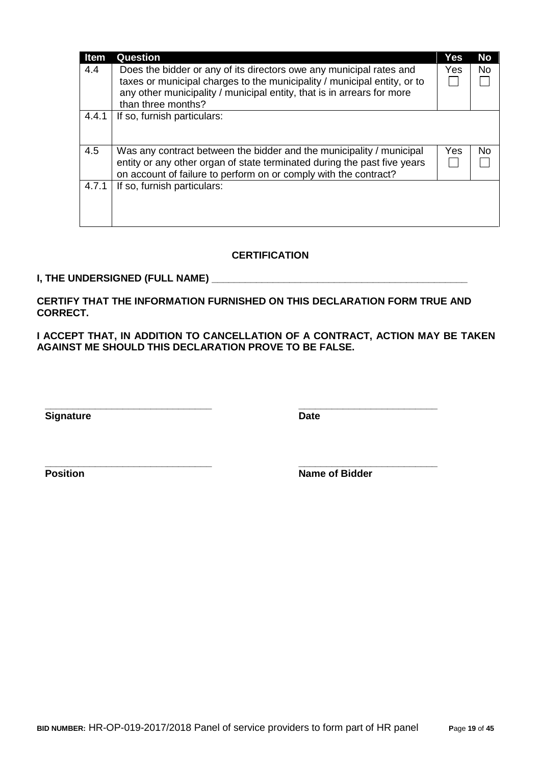| <b>Item</b> | Question                                                                                                                                                                                                             | Yes | <b>No</b> |
|-------------|----------------------------------------------------------------------------------------------------------------------------------------------------------------------------------------------------------------------|-----|-----------|
| 4.4         | Does the bidder or any of its directors owe any municipal rates and<br>taxes or municipal charges to the municipality / municipal entity, or to                                                                      | Yes | <b>No</b> |
|             | any other municipality / municipal entity, that is in arrears for more<br>than three months?                                                                                                                         |     |           |
| 4.4.1       | If so, furnish particulars:                                                                                                                                                                                          |     |           |
| 4.5         | Was any contract between the bidder and the municipality / municipal<br>entity or any other organ of state terminated during the past five years<br>on account of failure to perform on or comply with the contract? | Yes | No.       |
| 4.7.1       | If so, furnish particulars:                                                                                                                                                                                          |     |           |

## **CERTIFICATION**

## **I, THE UNDERSIGNED (FULL NAME) \_\_\_\_\_\_\_\_\_\_\_\_\_\_\_\_\_\_\_\_\_\_\_\_\_\_\_\_\_\_\_\_\_\_\_\_\_\_\_\_\_\_\_\_\_\_**

**CERTIFY THAT THE INFORMATION FURNISHED ON THIS DECLARATION FORM TRUE AND CORRECT.**

**\_\_\_\_\_\_\_\_\_\_\_\_\_\_\_\_\_\_\_\_\_\_\_\_\_\_\_\_\_\_ \_\_\_\_\_\_\_\_\_\_\_\_\_\_\_\_\_\_\_\_\_\_\_\_\_**

**\_\_\_\_\_\_\_\_\_\_\_\_\_\_\_\_\_\_\_\_\_\_\_\_\_\_\_\_\_\_ \_\_\_\_\_\_\_\_\_\_\_\_\_\_\_\_\_\_\_\_\_\_\_\_\_**

**I ACCEPT THAT, IN ADDITION TO CANCELLATION OF A CONTRACT, ACTION MAY BE TAKEN AGAINST ME SHOULD THIS DECLARATION PROVE TO BE FALSE.**

**Signature Date** 

**Position Name of Bidder**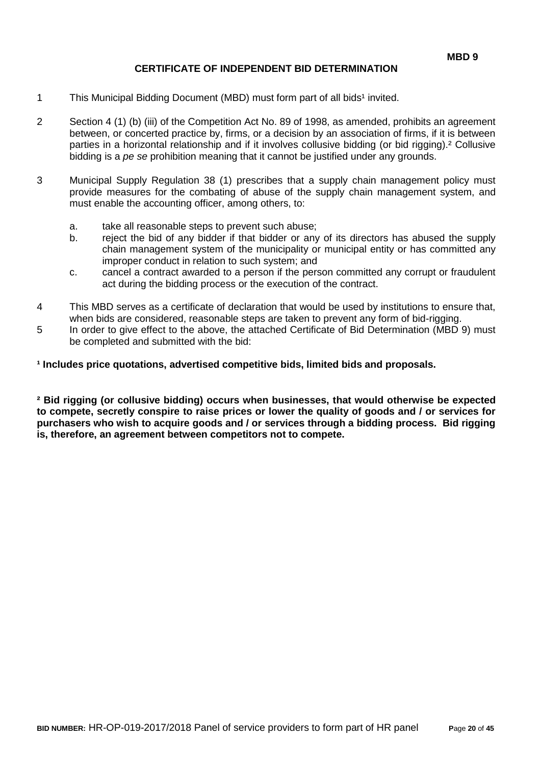## **CERTIFICATE OF INDEPENDENT BID DETERMINATION**

- 1 This Municipal Bidding Document (MBD) must form part of all bids<sup>1</sup> invited.
- 2 Section 4 (1) (b) (iii) of the Competition Act No. 89 of 1998, as amended, prohibits an agreement between, or concerted practice by, firms, or a decision by an association of firms, if it is between parties in a horizontal relationship and if it involves collusive bidding (or bid rigging).² Collusive bidding is a *pe se* prohibition meaning that it cannot be justified under any grounds.
- 3 Municipal Supply Regulation 38 (1) prescribes that a supply chain management policy must provide measures for the combating of abuse of the supply chain management system, and must enable the accounting officer, among others, to:
	- a. take all reasonable steps to prevent such abuse;
	- b. reject the bid of any bidder if that bidder or any of its directors has abused the supply chain management system of the municipality or municipal entity or has committed any improper conduct in relation to such system; and
	- c. cancel a contract awarded to a person if the person committed any corrupt or fraudulent act during the bidding process or the execution of the contract.
- 4 This MBD serves as a certificate of declaration that would be used by institutions to ensure that, when bids are considered, reasonable steps are taken to prevent any form of bid-rigging.
- 5 In order to give effect to the above, the attached Certificate of Bid Determination (MBD 9) must be completed and submitted with the bid:

**¹ Includes price quotations, advertised competitive bids, limited bids and proposals.**

**² Bid rigging (or collusive bidding) occurs when businesses, that would otherwise be expected to compete, secretly conspire to raise prices or lower the quality of goods and / or services for purchasers who wish to acquire goods and / or services through a bidding process. Bid rigging is, therefore, an agreement between competitors not to compete.**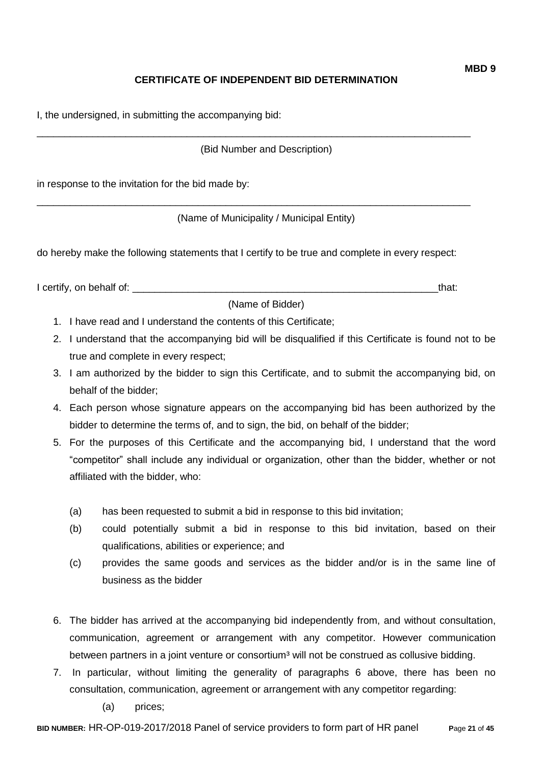## **CERTIFICATE OF INDEPENDENT BID DETERMINATION**

I, the undersigned, in submitting the accompanying bid:

(Bid Number and Description)

\_\_\_\_\_\_\_\_\_\_\_\_\_\_\_\_\_\_\_\_\_\_\_\_\_\_\_\_\_\_\_\_\_\_\_\_\_\_\_\_\_\_\_\_\_\_\_\_\_\_\_\_\_\_\_\_\_\_\_\_\_\_\_\_\_\_\_\_\_\_\_\_\_\_\_\_\_\_

\_\_\_\_\_\_\_\_\_\_\_\_\_\_\_\_\_\_\_\_\_\_\_\_\_\_\_\_\_\_\_\_\_\_\_\_\_\_\_\_\_\_\_\_\_\_\_\_\_\_\_\_\_\_\_\_\_\_\_\_\_\_\_\_\_\_\_\_\_\_\_\_\_\_\_\_\_\_

in response to the invitation for the bid made by:

(Name of Municipality / Municipal Entity)

do hereby make the following statements that I certify to be true and complete in every respect:

I certify, on behalf of: the state of the state of the state of the state of the state of the state of the state of the state of the state of the state of the state of the state of the state of the state of the state of th

(Name of Bidder)

- 1. I have read and I understand the contents of this Certificate;
- 2. I understand that the accompanying bid will be disqualified if this Certificate is found not to be true and complete in every respect;
- 3. I am authorized by the bidder to sign this Certificate, and to submit the accompanying bid, on behalf of the bidder;
- 4. Each person whose signature appears on the accompanying bid has been authorized by the bidder to determine the terms of, and to sign, the bid, on behalf of the bidder;
- 5. For the purposes of this Certificate and the accompanying bid, I understand that the word "competitor" shall include any individual or organization, other than the bidder, whether or not affiliated with the bidder, who:
	- (a) has been requested to submit a bid in response to this bid invitation;
	- (b) could potentially submit a bid in response to this bid invitation, based on their qualifications, abilities or experience; and
	- (c) provides the same goods and services as the bidder and/or is in the same line of business as the bidder
- 6. The bidder has arrived at the accompanying bid independently from, and without consultation, communication, agreement or arrangement with any competitor. However communication between partners in a joint venture or consortium<sup>3</sup> will not be construed as collusive bidding.
- 7. In particular, without limiting the generality of paragraphs 6 above, there has been no consultation, communication, agreement or arrangement with any competitor regarding:
	- (a) prices;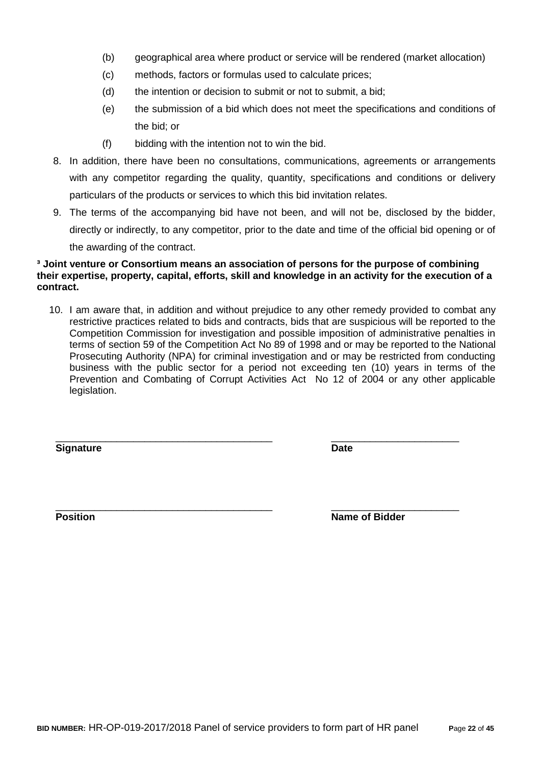- (b) geographical area where product or service will be rendered (market allocation)
- (c) methods, factors or formulas used to calculate prices;
- (d) the intention or decision to submit or not to submit, a bid;
- (e) the submission of a bid which does not meet the specifications and conditions of the bid; or
- (f) bidding with the intention not to win the bid.
- 8. In addition, there have been no consultations, communications, agreements or arrangements with any competitor regarding the quality, quantity, specifications and conditions or delivery particulars of the products or services to which this bid invitation relates.
- 9. The terms of the accompanying bid have not been, and will not be, disclosed by the bidder, directly or indirectly, to any competitor, prior to the date and time of the official bid opening or of the awarding of the contract.

#### **³ Joint venture or Consortium means an association of persons for the purpose of combining their expertise, property, capital, efforts, skill and knowledge in an activity for the execution of a contract.**

10. I am aware that, in addition and without prejudice to any other remedy provided to combat any restrictive practices related to bids and contracts, bids that are suspicious will be reported to the Competition Commission for investigation and possible imposition of administrative penalties in terms of section 59 of the Competition Act No 89 of 1998 and or may be reported to the National Prosecuting Authority (NPA) for criminal investigation and or may be restricted from conducting business with the public sector for a period not exceeding ten (10) years in terms of the Prevention and Combating of Corrupt Activities Act No 12 of 2004 or any other applicable legislation.

\_\_\_\_\_\_\_\_\_\_\_\_\_\_\_\_\_\_\_\_\_\_\_\_\_\_\_\_\_\_\_\_\_\_\_\_\_\_\_ \_\_\_\_\_\_\_\_\_\_\_\_\_\_\_\_\_\_\_\_\_\_\_

**Signature Date**

\_\_\_\_\_\_\_\_\_\_\_\_\_\_\_\_\_\_\_\_\_\_\_\_\_\_\_\_\_\_\_\_\_\_\_\_\_\_\_ \_\_\_\_\_\_\_\_\_\_\_\_\_\_\_\_\_\_\_\_\_\_\_ **Position Position Name of Bidder**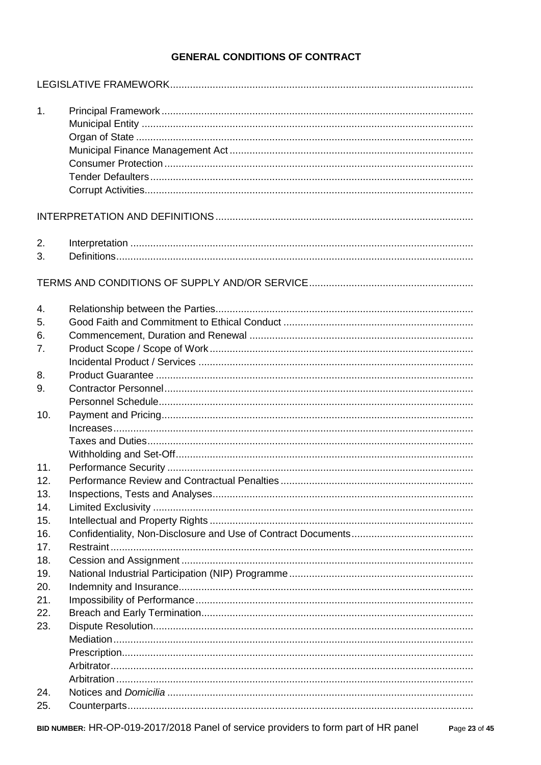## **GENERAL CONDITIONS OF CONTRACT**

| 1.       |  |
|----------|--|
|          |  |
|          |  |
| 2.<br>3. |  |
|          |  |
| 4.<br>5. |  |
| 6.       |  |
| 7.       |  |
|          |  |
| 8.       |  |
| 9.       |  |
| 10.      |  |
|          |  |
|          |  |
|          |  |
| 11.      |  |
| 12.      |  |
| 13.      |  |
| 14.      |  |
| 15.      |  |
| 16.      |  |
| 17.      |  |
| 18.      |  |
| 19.      |  |
| 20.      |  |
| 21.      |  |
| 22.      |  |
| 23.      |  |
|          |  |
|          |  |
|          |  |
|          |  |
| 24.      |  |
| 25.      |  |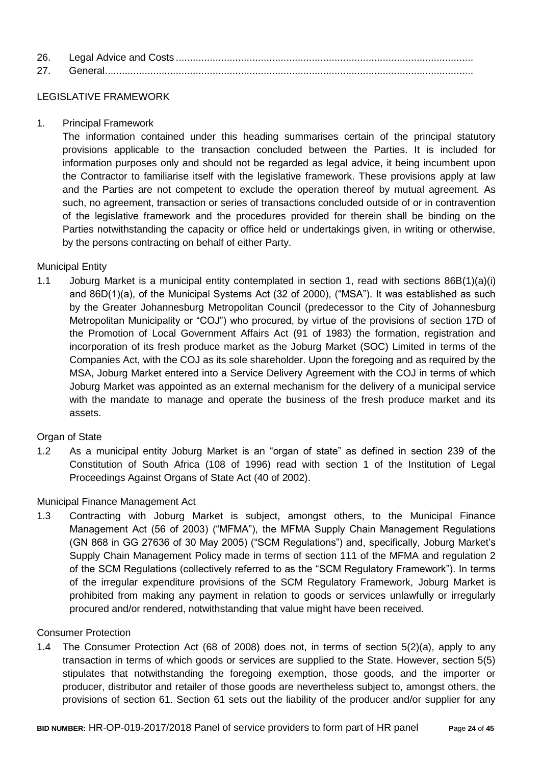| 26. |  |
|-----|--|
| 27  |  |

## LEGISLATIVE FRAMEWORK

1. Principal Framework

The information contained under this heading summarises certain of the principal statutory provisions applicable to the transaction concluded between the Parties. It is included for information purposes only and should not be regarded as legal advice, it being incumbent upon the Contractor to familiarise itself with the legislative framework. These provisions apply at law and the Parties are not competent to exclude the operation thereof by mutual agreement. As such, no agreement, transaction or series of transactions concluded outside of or in contravention of the legislative framework and the procedures provided for therein shall be binding on the Parties notwithstanding the capacity or office held or undertakings given, in writing or otherwise, by the persons contracting on behalf of either Party.

## Municipal Entity

1.1 Joburg Market is a municipal entity contemplated in section 1, read with sections 86B(1)(a)(i) and 86D(1)(a), of the Municipal Systems Act (32 of 2000), ("MSA"). It was established as such by the Greater Johannesburg Metropolitan Council (predecessor to the City of Johannesburg Metropolitan Municipality or "COJ") who procured, by virtue of the provisions of section 17D of the Promotion of Local Government Affairs Act (91 of 1983) the formation, registration and incorporation of its fresh produce market as the Joburg Market (SOC) Limited in terms of the Companies Act, with the COJ as its sole shareholder. Upon the foregoing and as required by the MSA, Joburg Market entered into a Service Delivery Agreement with the COJ in terms of which Joburg Market was appointed as an external mechanism for the delivery of a municipal service with the mandate to manage and operate the business of the fresh produce market and its assets.

## Organ of State

1.2 As a municipal entity Joburg Market is an "organ of state" as defined in section 239 of the Constitution of South Africa (108 of 1996) read with section 1 of the Institution of Legal Proceedings Against Organs of State Act (40 of 2002).

## Municipal Finance Management Act

1.3 Contracting with Joburg Market is subject, amongst others, to the Municipal Finance Management Act (56 of 2003) ("MFMA"), the MFMA Supply Chain Management Regulations (GN 868 in GG 27636 of 30 May 2005) ("SCM Regulations") and, specifically, Joburg Market's Supply Chain Management Policy made in terms of section 111 of the MFMA and regulation 2 of the SCM Regulations (collectively referred to as the "SCM Regulatory Framework"). In terms of the irregular expenditure provisions of the SCM Regulatory Framework, Joburg Market is prohibited from making any payment in relation to goods or services unlawfully or irregularly procured and/or rendered, notwithstanding that value might have been received.

## Consumer Protection

1.4 The Consumer Protection Act (68 of 2008) does not, in terms of section 5(2)(a), apply to any transaction in terms of which goods or services are supplied to the State. However, section 5(5) stipulates that notwithstanding the foregoing exemption, those goods, and the importer or producer, distributor and retailer of those goods are nevertheless subject to, amongst others, the provisions of section 61. Section 61 sets out the liability of the producer and/or supplier for any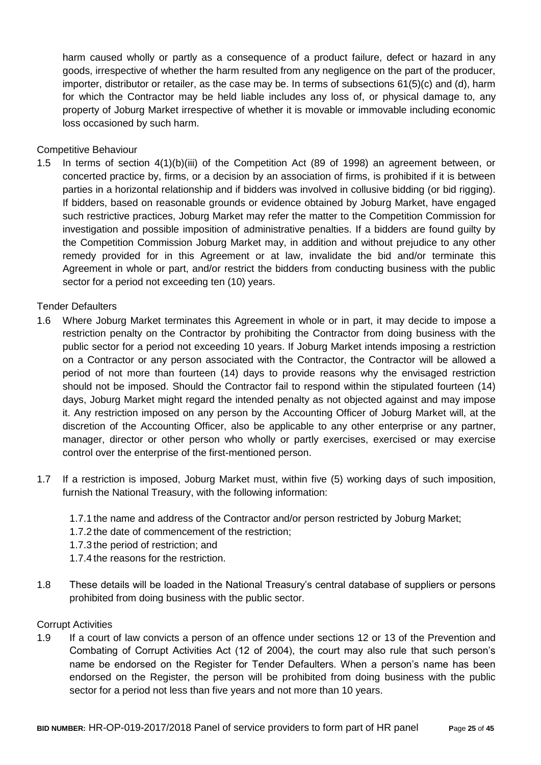harm caused wholly or partly as a consequence of a product failure, defect or hazard in any goods, irrespective of whether the harm resulted from any negligence on the part of the producer, importer, distributor or retailer, as the case may be. In terms of subsections 61(5)(c) and (d), harm for which the Contractor may be held liable includes any loss of, or physical damage to, any property of Joburg Market irrespective of whether it is movable or immovable including economic loss occasioned by such harm.

Competitive Behaviour

1.5 In terms of section 4(1)(b)(iii) of the Competition Act (89 of 1998) an agreement between, or concerted practice by, firms, or a decision by an association of firms, is prohibited if it is between parties in a horizontal relationship and if bidders was involved in collusive bidding (or bid rigging). If bidders, based on reasonable grounds or evidence obtained by Joburg Market, have engaged such restrictive practices, Joburg Market may refer the matter to the Competition Commission for investigation and possible imposition of administrative penalties. If a bidders are found guilty by the Competition Commission Joburg Market may, in addition and without prejudice to any other remedy provided for in this Agreement or at law, invalidate the bid and/or terminate this Agreement in whole or part, and/or restrict the bidders from conducting business with the public sector for a period not exceeding ten (10) years.

Tender Defaulters

- 1.6 Where Joburg Market terminates this Agreement in whole or in part, it may decide to impose a restriction penalty on the Contractor by prohibiting the Contractor from doing business with the public sector for a period not exceeding 10 years. If Joburg Market intends imposing a restriction on a Contractor or any person associated with the Contractor, the Contractor will be allowed a period of not more than fourteen (14) days to provide reasons why the envisaged restriction should not be imposed. Should the Contractor fail to respond within the stipulated fourteen (14) days, Joburg Market might regard the intended penalty as not objected against and may impose it. Any restriction imposed on any person by the Accounting Officer of Joburg Market will, at the discretion of the Accounting Officer, also be applicable to any other enterprise or any partner, manager, director or other person who wholly or partly exercises, exercised or may exercise control over the enterprise of the first-mentioned person.
- 1.7 If a restriction is imposed, Joburg Market must, within five (5) working days of such imposition, furnish the National Treasury, with the following information:
	- 1.7.1 the name and address of the Contractor and/or person restricted by Joburg Market;
	- 1.7.2 the date of commencement of the restriction;
	- 1.7.3 the period of restriction; and
	- 1.7.4 the reasons for the restriction.
- 1.8 These details will be loaded in the National Treasury's central database of suppliers or persons prohibited from doing business with the public sector.

## Corrupt Activities

1.9 If a court of law convicts a person of an offence under sections 12 or 13 of the Prevention and Combating of Corrupt Activities Act (12 of 2004), the court may also rule that such person's name be endorsed on the Register for Tender Defaulters. When a person's name has been endorsed on the Register, the person will be prohibited from doing business with the public sector for a period not less than five years and not more than 10 years.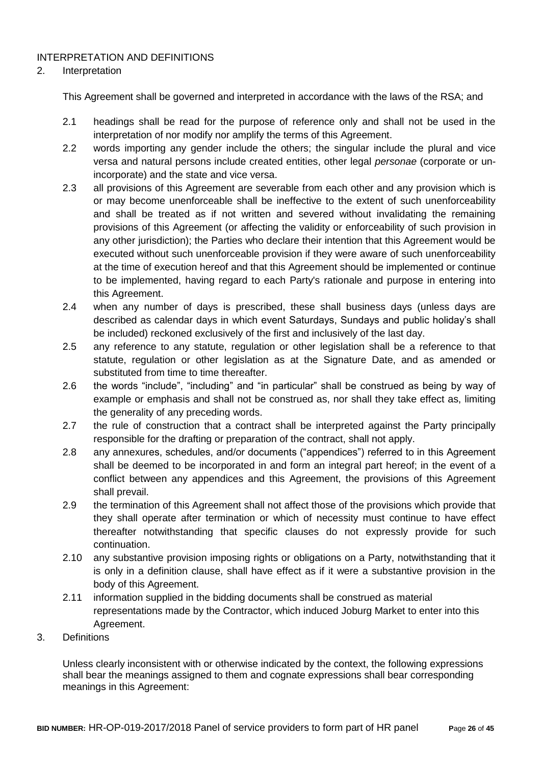## INTERPRETATION AND DEFINITIONS

#### 2. Interpretation

This Agreement shall be governed and interpreted in accordance with the laws of the RSA; and

- 2.1 headings shall be read for the purpose of reference only and shall not be used in the interpretation of nor modify nor amplify the terms of this Agreement.
- 2.2 words importing any gender include the others; the singular include the plural and vice versa and natural persons include created entities, other legal *personae* (corporate or unincorporate) and the state and vice versa.
- 2.3 all provisions of this Agreement are severable from each other and any provision which is or may become unenforceable shall be ineffective to the extent of such unenforceability and shall be treated as if not written and severed without invalidating the remaining provisions of this Agreement (or affecting the validity or enforceability of such provision in any other jurisdiction); the Parties who declare their intention that this Agreement would be executed without such unenforceable provision if they were aware of such unenforceability at the time of execution hereof and that this Agreement should be implemented or continue to be implemented, having regard to each Party's rationale and purpose in entering into this Agreement.
- 2.4 when any number of days is prescribed, these shall business days (unless days are described as calendar days in which event Saturdays, Sundays and public holiday's shall be included) reckoned exclusively of the first and inclusively of the last day.
- 2.5 any reference to any statute, regulation or other legislation shall be a reference to that statute, regulation or other legislation as at the Signature Date, and as amended or substituted from time to time thereafter.
- 2.6 the words "include", "including" and "in particular" shall be construed as being by way of example or emphasis and shall not be construed as, nor shall they take effect as, limiting the generality of any preceding words.
- 2.7 the rule of construction that a contract shall be interpreted against the Party principally responsible for the drafting or preparation of the contract, shall not apply.
- 2.8 any annexures, schedules, and/or documents ("appendices") referred to in this Agreement shall be deemed to be incorporated in and form an integral part hereof; in the event of a conflict between any appendices and this Agreement, the provisions of this Agreement shall prevail.
- 2.9 the termination of this Agreement shall not affect those of the provisions which provide that they shall operate after termination or which of necessity must continue to have effect thereafter notwithstanding that specific clauses do not expressly provide for such continuation.
- 2.10 any substantive provision imposing rights or obligations on a Party, notwithstanding that it is only in a definition clause, shall have effect as if it were a substantive provision in the body of this Agreement.
- 2.11 information supplied in the bidding documents shall be construed as material representations made by the Contractor, which induced Joburg Market to enter into this Agreement.
- 3. Definitions

Unless clearly inconsistent with or otherwise indicated by the context, the following expressions shall bear the meanings assigned to them and cognate expressions shall bear corresponding meanings in this Agreement: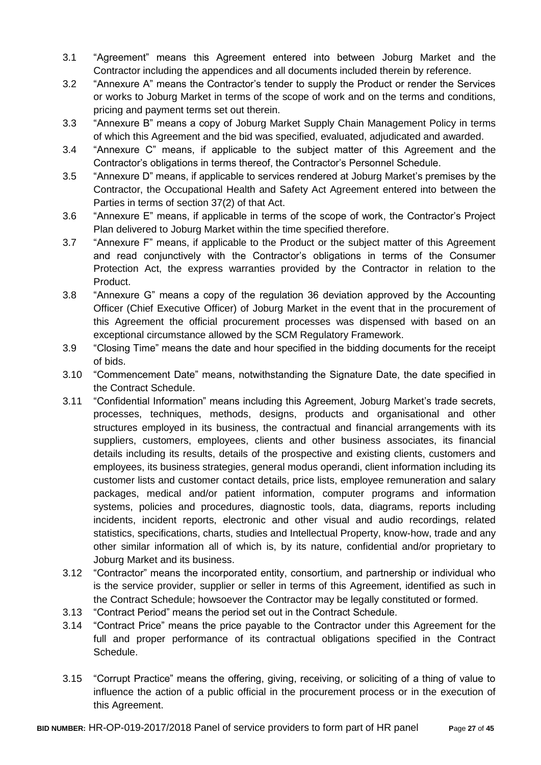- 3.1 "Agreement" means this Agreement entered into between Joburg Market and the Contractor including the appendices and all documents included therein by reference.
- 3.2 "Annexure A" means the Contractor's tender to supply the Product or render the Services or works to Joburg Market in terms of the scope of work and on the terms and conditions, pricing and payment terms set out therein.
- 3.3 "Annexure B" means a copy of Joburg Market Supply Chain Management Policy in terms of which this Agreement and the bid was specified, evaluated, adjudicated and awarded.
- 3.4 "Annexure C" means, if applicable to the subject matter of this Agreement and the Contractor's obligations in terms thereof, the Contractor's Personnel Schedule.
- 3.5 "Annexure D" means, if applicable to services rendered at Joburg Market's premises by the Contractor, the Occupational Health and Safety Act Agreement entered into between the Parties in terms of section 37(2) of that Act.
- 3.6 "Annexure E" means, if applicable in terms of the scope of work, the Contractor's Project Plan delivered to Joburg Market within the time specified therefore.
- 3.7 "Annexure F" means, if applicable to the Product or the subject matter of this Agreement and read conjunctively with the Contractor's obligations in terms of the Consumer Protection Act, the express warranties provided by the Contractor in relation to the Product.
- 3.8 "Annexure G" means a copy of the regulation 36 deviation approved by the Accounting Officer (Chief Executive Officer) of Joburg Market in the event that in the procurement of this Agreement the official procurement processes was dispensed with based on an exceptional circumstance allowed by the SCM Regulatory Framework.
- 3.9 "Closing Time" means the date and hour specified in the bidding documents for the receipt of bids.
- 3.10 "Commencement Date" means, notwithstanding the Signature Date, the date specified in the Contract Schedule.
- 3.11 "Confidential Information" means including this Agreement, Joburg Market's trade secrets, processes, techniques, methods, designs, products and organisational and other structures employed in its business, the contractual and financial arrangements with its suppliers, customers, employees, clients and other business associates, its financial details including its results, details of the prospective and existing clients, customers and employees, its business strategies, general modus operandi, client information including its customer lists and customer contact details, price lists, employee remuneration and salary packages, medical and/or patient information, computer programs and information systems, policies and procedures, diagnostic tools, data, diagrams, reports including incidents, incident reports, electronic and other visual and audio recordings, related statistics, specifications, charts, studies and Intellectual Property, know-how, trade and any other similar information all of which is, by its nature, confidential and/or proprietary to Joburg Market and its business.
- 3.12 "Contractor" means the incorporated entity, consortium, and partnership or individual who is the service provider, supplier or seller in terms of this Agreement, identified as such in the Contract Schedule; howsoever the Contractor may be legally constituted or formed.
- 3.13 "Contract Period" means the period set out in the Contract Schedule.
- 3.14 "Contract Price" means the price payable to the Contractor under this Agreement for the full and proper performance of its contractual obligations specified in the Contract Schedule.
- 3.15 "Corrupt Practice" means the offering, giving, receiving, or soliciting of a thing of value to influence the action of a public official in the procurement process or in the execution of this Agreement.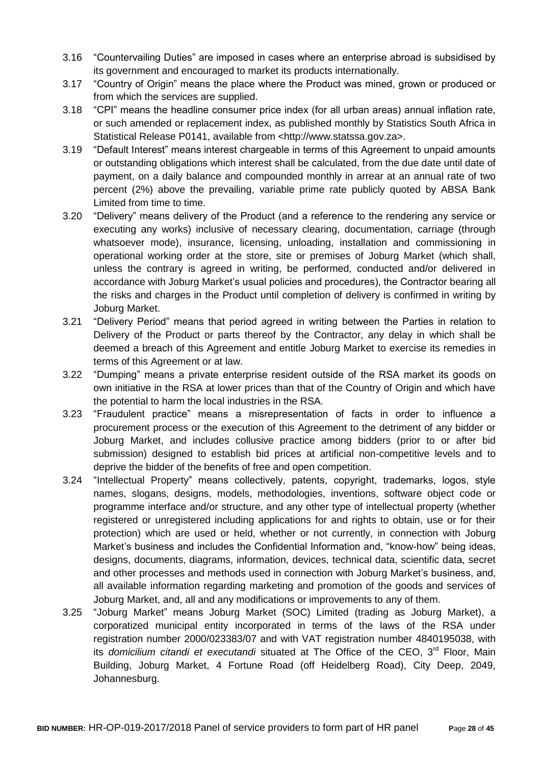- 3.16 "Countervailing Duties" are imposed in cases where an enterprise abroad is subsidised by its government and encouraged to market its products internationally.
- 3.17 "Country of Origin" means the place where the Product was mined, grown or produced or from which the services are supplied.
- 3.18 "CPI" means the headline consumer price index (for all urban areas) annual inflation rate, or such amended or replacement index, as published monthly by Statistics South Africa in Statistical Release P0141, available from <http://www.statssa.gov.za>.
- 3.19 "Default Interest" means interest chargeable in terms of this Agreement to unpaid amounts or outstanding obligations which interest shall be calculated, from the due date until date of payment, on a daily balance and compounded monthly in arrear at an annual rate of two percent (2%) above the prevailing, variable prime rate publicly quoted by ABSA Bank Limited from time to time.
- 3.20 "Delivery" means delivery of the Product (and a reference to the rendering any service or executing any works) inclusive of necessary clearing, documentation, carriage (through whatsoever mode), insurance, licensing, unloading, installation and commissioning in operational working order at the store, site or premises of Joburg Market (which shall, unless the contrary is agreed in writing, be performed, conducted and/or delivered in accordance with Joburg Market's usual policies and procedures), the Contractor bearing all the risks and charges in the Product until completion of delivery is confirmed in writing by Joburg Market.
- 3.21 "Delivery Period" means that period agreed in writing between the Parties in relation to Delivery of the Product or parts thereof by the Contractor, any delay in which shall be deemed a breach of this Agreement and entitle Joburg Market to exercise its remedies in terms of this Agreement or at law.
- 3.22 "Dumping" means a private enterprise resident outside of the RSA market its goods on own initiative in the RSA at lower prices than that of the Country of Origin and which have the potential to harm the local industries in the RSA.
- 3.23 "Fraudulent practice" means a misrepresentation of facts in order to influence a procurement process or the execution of this Agreement to the detriment of any bidder or Joburg Market, and includes collusive practice among bidders (prior to or after bid submission) designed to establish bid prices at artificial non-competitive levels and to deprive the bidder of the benefits of free and open competition.
- 3.24 "Intellectual Property" means collectively, patents, copyright, trademarks, logos, style names, slogans, designs, models, methodologies, inventions, software object code or programme interface and/or structure, and any other type of intellectual property (whether registered or unregistered including applications for and rights to obtain, use or for their protection) which are used or held, whether or not currently, in connection with Joburg Market's business and includes the Confidential Information and, "know-how" being ideas, designs, documents, diagrams, information, devices, technical data, scientific data, secret and other processes and methods used in connection with Joburg Market's business, and, all available information regarding marketing and promotion of the goods and services of Joburg Market, and, all and any modifications or improvements to any of them.
- 3.25 "Joburg Market" means Joburg Market (SOC) Limited (trading as Joburg Market), a corporatized municipal entity incorporated in terms of the laws of the RSA under registration number 2000/023383/07 and with VAT registration number 4840195038, with its *domicilium citandi et executandi* situated at The Office of the CEO, 3<sup>rd</sup> Floor, Main Building, Joburg Market, 4 Fortune Road (off Heidelberg Road), City Deep, 2049, Johannesburg.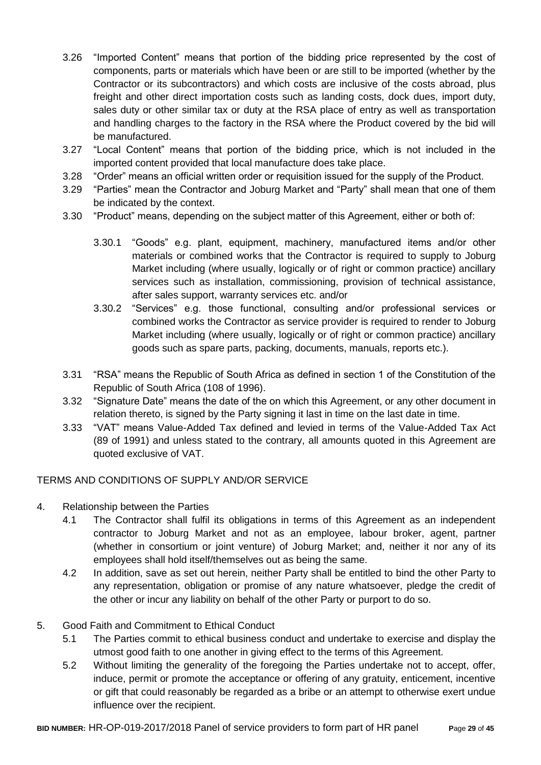- 3.26 "Imported Content" means that portion of the bidding price represented by the cost of components, parts or materials which have been or are still to be imported (whether by the Contractor or its subcontractors) and which costs are inclusive of the costs abroad, plus freight and other direct importation costs such as landing costs, dock dues, import duty, sales duty or other similar tax or duty at the RSA place of entry as well as transportation and handling charges to the factory in the RSA where the Product covered by the bid will be manufactured.
- 3.27 "Local Content" means that portion of the bidding price, which is not included in the imported content provided that local manufacture does take place.
- 3.28 "Order" means an official written order or requisition issued for the supply of the Product.
- 3.29 "Parties" mean the Contractor and Joburg Market and "Party" shall mean that one of them be indicated by the context.
- 3.30 "Product" means, depending on the subject matter of this Agreement, either or both of:
	- 3.30.1 "Goods" e.g. plant, equipment, machinery, manufactured items and/or other materials or combined works that the Contractor is required to supply to Joburg Market including (where usually, logically or of right or common practice) ancillary services such as installation, commissioning, provision of technical assistance, after sales support, warranty services etc. and/or
	- 3.30.2 "Services" e.g. those functional, consulting and/or professional services or combined works the Contractor as service provider is required to render to Joburg Market including (where usually, logically or of right or common practice) ancillary goods such as spare parts, packing, documents, manuals, reports etc.).
- 3.31 "RSA" means the Republic of South Africa as defined in section 1 of the Constitution of the Republic of South Africa (108 of 1996).
- 3.32 "Signature Date" means the date of the on which this Agreement, or any other document in relation thereto, is signed by the Party signing it last in time on the last date in time.
- 3.33 "VAT" means Value-Added Tax defined and levied in terms of the Value-Added Tax Act (89 of 1991) and unless stated to the contrary, all amounts quoted in this Agreement are quoted exclusive of VAT.

## TERMS AND CONDITIONS OF SUPPLY AND/OR SERVICE

- 4. Relationship between the Parties
	- 4.1 The Contractor shall fulfil its obligations in terms of this Agreement as an independent contractor to Joburg Market and not as an employee, labour broker, agent, partner (whether in consortium or joint venture) of Joburg Market; and, neither it nor any of its employees shall hold itself/themselves out as being the same.
	- 4.2 In addition, save as set out herein, neither Party shall be entitled to bind the other Party to any representation, obligation or promise of any nature whatsoever, pledge the credit of the other or incur any liability on behalf of the other Party or purport to do so.

## 5. Good Faith and Commitment to Ethical Conduct

- 5.1 The Parties commit to ethical business conduct and undertake to exercise and display the utmost good faith to one another in giving effect to the terms of this Agreement.
- 5.2 Without limiting the generality of the foregoing the Parties undertake not to accept, offer, induce, permit or promote the acceptance or offering of any gratuity, enticement, incentive or gift that could reasonably be regarded as a bribe or an attempt to otherwise exert undue influence over the recipient.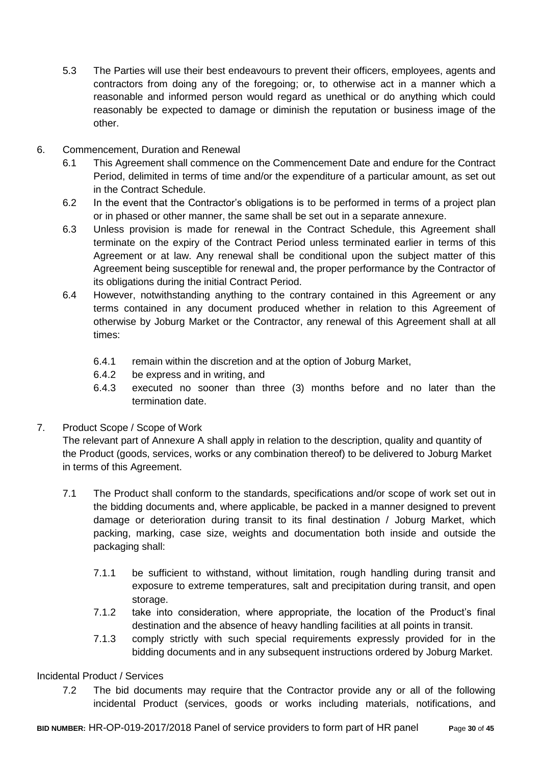- 5.3 The Parties will use their best endeavours to prevent their officers, employees, agents and contractors from doing any of the foregoing; or, to otherwise act in a manner which a reasonable and informed person would regard as unethical or do anything which could reasonably be expected to damage or diminish the reputation or business image of the other.
- 6. Commencement, Duration and Renewal
	- 6.1 This Agreement shall commence on the Commencement Date and endure for the Contract Period, delimited in terms of time and/or the expenditure of a particular amount, as set out in the Contract Schedule.
	- 6.2 In the event that the Contractor's obligations is to be performed in terms of a project plan or in phased or other manner, the same shall be set out in a separate annexure.
	- 6.3 Unless provision is made for renewal in the Contract Schedule, this Agreement shall terminate on the expiry of the Contract Period unless terminated earlier in terms of this Agreement or at law. Any renewal shall be conditional upon the subject matter of this Agreement being susceptible for renewal and, the proper performance by the Contractor of its obligations during the initial Contract Period.
	- 6.4 However, notwithstanding anything to the contrary contained in this Agreement or any terms contained in any document produced whether in relation to this Agreement of otherwise by Joburg Market or the Contractor, any renewal of this Agreement shall at all times:
		- 6.4.1 remain within the discretion and at the option of Joburg Market,
		- 6.4.2 be express and in writing, and
		- 6.4.3 executed no sooner than three (3) months before and no later than the termination date.
- 7. Product Scope / Scope of Work

The relevant part of Annexure A shall apply in relation to the description, quality and quantity of the Product (goods, services, works or any combination thereof) to be delivered to Joburg Market in terms of this Agreement.

- 7.1 The Product shall conform to the standards, specifications and/or scope of work set out in the bidding documents and, where applicable, be packed in a manner designed to prevent damage or deterioration during transit to its final destination / Joburg Market, which packing, marking, case size, weights and documentation both inside and outside the packaging shall:
	- 7.1.1 be sufficient to withstand, without limitation, rough handling during transit and exposure to extreme temperatures, salt and precipitation during transit, and open storage.
	- 7.1.2 take into consideration, where appropriate, the location of the Product's final destination and the absence of heavy handling facilities at all points in transit.
	- 7.1.3 comply strictly with such special requirements expressly provided for in the bidding documents and in any subsequent instructions ordered by Joburg Market.

Incidental Product / Services

7.2 The bid documents may require that the Contractor provide any or all of the following incidental Product (services, goods or works including materials, notifications, and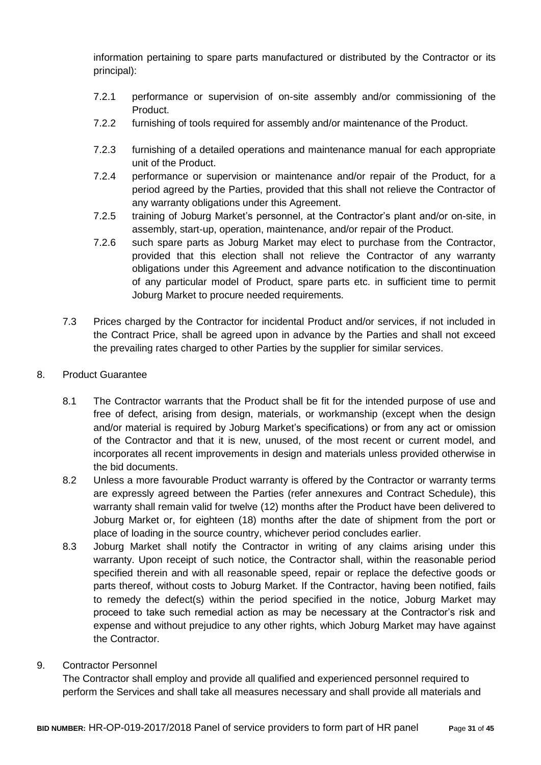information pertaining to spare parts manufactured or distributed by the Contractor or its principal):

- 7.2.1 performance or supervision of on-site assembly and/or commissioning of the Product.
- 7.2.2 furnishing of tools required for assembly and/or maintenance of the Product.
- 7.2.3 furnishing of a detailed operations and maintenance manual for each appropriate unit of the Product.
- 7.2.4 performance or supervision or maintenance and/or repair of the Product, for a period agreed by the Parties, provided that this shall not relieve the Contractor of any warranty obligations under this Agreement.
- 7.2.5 training of Joburg Market's personnel, at the Contractor's plant and/or on-site, in assembly, start-up, operation, maintenance, and/or repair of the Product.
- 7.2.6 such spare parts as Joburg Market may elect to purchase from the Contractor, provided that this election shall not relieve the Contractor of any warranty obligations under this Agreement and advance notification to the discontinuation of any particular model of Product, spare parts etc. in sufficient time to permit Joburg Market to procure needed requirements.
- 7.3 Prices charged by the Contractor for incidental Product and/or services, if not included in the Contract Price, shall be agreed upon in advance by the Parties and shall not exceed the prevailing rates charged to other Parties by the supplier for similar services.
- 8. Product Guarantee
	- 8.1 The Contractor warrants that the Product shall be fit for the intended purpose of use and free of defect, arising from design, materials, or workmanship (except when the design and/or material is required by Joburg Market's specifications) or from any act or omission of the Contractor and that it is new, unused, of the most recent or current model, and incorporates all recent improvements in design and materials unless provided otherwise in the bid documents.
	- 8.2 Unless a more favourable Product warranty is offered by the Contractor or warranty terms are expressly agreed between the Parties (refer annexures and Contract Schedule), this warranty shall remain valid for twelve (12) months after the Product have been delivered to Joburg Market or, for eighteen (18) months after the date of shipment from the port or place of loading in the source country, whichever period concludes earlier.
	- 8.3 Joburg Market shall notify the Contractor in writing of any claims arising under this warranty. Upon receipt of such notice, the Contractor shall, within the reasonable period specified therein and with all reasonable speed, repair or replace the defective goods or parts thereof, without costs to Joburg Market. If the Contractor, having been notified, fails to remedy the defect(s) within the period specified in the notice, Joburg Market may proceed to take such remedial action as may be necessary at the Contractor's risk and expense and without prejudice to any other rights, which Joburg Market may have against the Contractor.
- 9. Contractor Personnel

The Contractor shall employ and provide all qualified and experienced personnel required to perform the Services and shall take all measures necessary and shall provide all materials and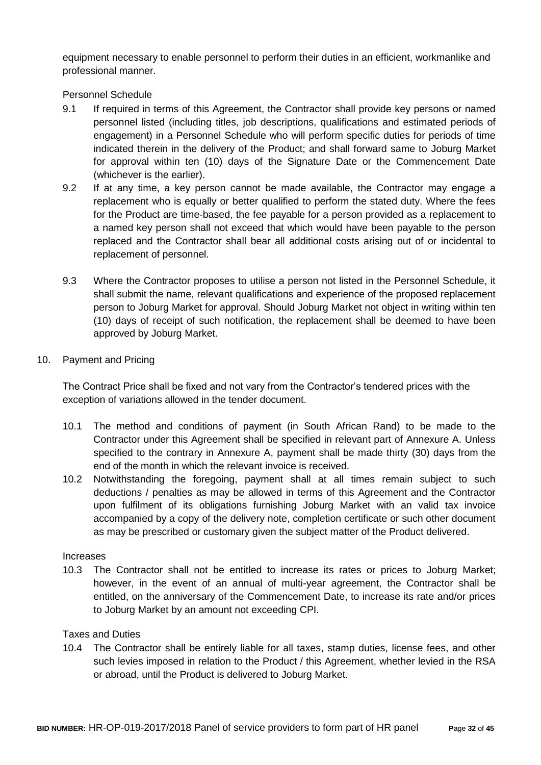equipment necessary to enable personnel to perform their duties in an efficient, workmanlike and professional manner.

Personnel Schedule

- 9.1 If required in terms of this Agreement, the Contractor shall provide key persons or named personnel listed (including titles, job descriptions, qualifications and estimated periods of engagement) in a Personnel Schedule who will perform specific duties for periods of time indicated therein in the delivery of the Product; and shall forward same to Joburg Market for approval within ten (10) days of the Signature Date or the Commencement Date (whichever is the earlier).
- 9.2 If at any time, a key person cannot be made available, the Contractor may engage a replacement who is equally or better qualified to perform the stated duty. Where the fees for the Product are time-based, the fee payable for a person provided as a replacement to a named key person shall not exceed that which would have been payable to the person replaced and the Contractor shall bear all additional costs arising out of or incidental to replacement of personnel.
- 9.3 Where the Contractor proposes to utilise a person not listed in the Personnel Schedule, it shall submit the name, relevant qualifications and experience of the proposed replacement person to Joburg Market for approval. Should Joburg Market not object in writing within ten (10) days of receipt of such notification, the replacement shall be deemed to have been approved by Joburg Market.
- 10. Payment and Pricing

The Contract Price shall be fixed and not vary from the Contractor's tendered prices with the exception of variations allowed in the tender document.

- 10.1 The method and conditions of payment (in South African Rand) to be made to the Contractor under this Agreement shall be specified in relevant part of Annexure A. Unless specified to the contrary in Annexure A, payment shall be made thirty (30) days from the end of the month in which the relevant invoice is received.
- 10.2 Notwithstanding the foregoing, payment shall at all times remain subject to such deductions / penalties as may be allowed in terms of this Agreement and the Contractor upon fulfilment of its obligations furnishing Joburg Market with an valid tax invoice accompanied by a copy of the delivery note, completion certificate or such other document as may be prescribed or customary given the subject matter of the Product delivered.

## Increases

10.3 The Contractor shall not be entitled to increase its rates or prices to Joburg Market; however, in the event of an annual of multi-year agreement, the Contractor shall be entitled, on the anniversary of the Commencement Date, to increase its rate and/or prices to Joburg Market by an amount not exceeding CPI.

## Taxes and Duties

10.4 The Contractor shall be entirely liable for all taxes, stamp duties, license fees, and other such levies imposed in relation to the Product / this Agreement, whether levied in the RSA or abroad, until the Product is delivered to Joburg Market.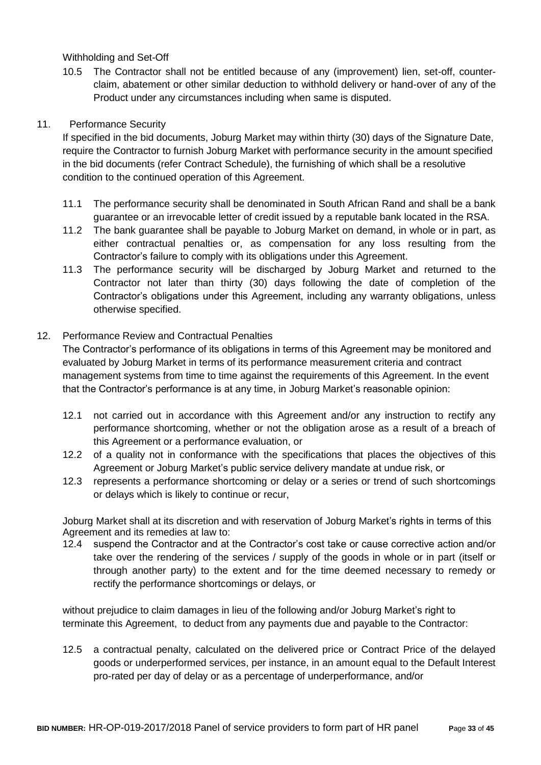Withholding and Set-Off

10.5 The Contractor shall not be entitled because of any (improvement) lien, set-off, counterclaim, abatement or other similar deduction to withhold delivery or hand-over of any of the Product under any circumstances including when same is disputed.

## 11. Performance Security

If specified in the bid documents, Joburg Market may within thirty (30) days of the Signature Date, require the Contractor to furnish Joburg Market with performance security in the amount specified in the bid documents (refer Contract Schedule), the furnishing of which shall be a resolutive condition to the continued operation of this Agreement.

- 11.1 The performance security shall be denominated in South African Rand and shall be a bank guarantee or an irrevocable letter of credit issued by a reputable bank located in the RSA.
- 11.2 The bank guarantee shall be payable to Joburg Market on demand, in whole or in part, as either contractual penalties or, as compensation for any loss resulting from the Contractor's failure to comply with its obligations under this Agreement.
- 11.3 The performance security will be discharged by Joburg Market and returned to the Contractor not later than thirty (30) days following the date of completion of the Contractor's obligations under this Agreement, including any warranty obligations, unless otherwise specified.

## 12. Performance Review and Contractual Penalties

The Contractor's performance of its obligations in terms of this Agreement may be monitored and evaluated by Joburg Market in terms of its performance measurement criteria and contract management systems from time to time against the requirements of this Agreement. In the event that the Contractor's performance is at any time, in Joburg Market's reasonable opinion:

- 12.1 not carried out in accordance with this Agreement and/or any instruction to rectify any performance shortcoming, whether or not the obligation arose as a result of a breach of this Agreement or a performance evaluation, or
- 12.2 of a quality not in conformance with the specifications that places the objectives of this Agreement or Joburg Market's public service delivery mandate at undue risk, or
- 12.3 represents a performance shortcoming or delay or a series or trend of such shortcomings or delays which is likely to continue or recur,

Joburg Market shall at its discretion and with reservation of Joburg Market's rights in terms of this Agreement and its remedies at law to:

12.4 suspend the Contractor and at the Contractor's cost take or cause corrective action and/or take over the rendering of the services / supply of the goods in whole or in part (itself or through another party) to the extent and for the time deemed necessary to remedy or rectify the performance shortcomings or delays, or

without prejudice to claim damages in lieu of the following and/or Joburg Market's right to terminate this Agreement, to deduct from any payments due and payable to the Contractor:

12.5 a contractual penalty, calculated on the delivered price or Contract Price of the delayed goods or underperformed services, per instance, in an amount equal to the Default Interest pro-rated per day of delay or as a percentage of underperformance, and/or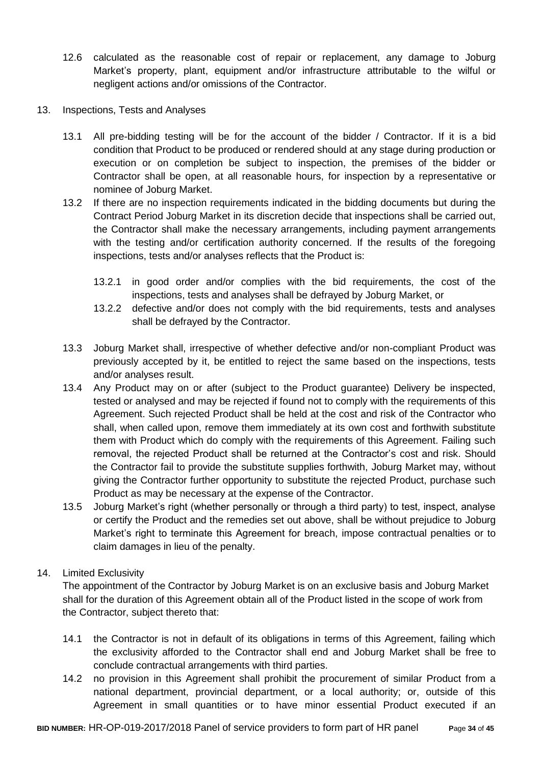- 12.6 calculated as the reasonable cost of repair or replacement, any damage to Joburg Market's property, plant, equipment and/or infrastructure attributable to the wilful or negligent actions and/or omissions of the Contractor.
- 13. Inspections, Tests and Analyses
	- 13.1 All pre-bidding testing will be for the account of the bidder / Contractor. If it is a bid condition that Product to be produced or rendered should at any stage during production or execution or on completion be subject to inspection, the premises of the bidder or Contractor shall be open, at all reasonable hours, for inspection by a representative or nominee of Joburg Market.
	- 13.2 If there are no inspection requirements indicated in the bidding documents but during the Contract Period Joburg Market in its discretion decide that inspections shall be carried out, the Contractor shall make the necessary arrangements, including payment arrangements with the testing and/or certification authority concerned. If the results of the foregoing inspections, tests and/or analyses reflects that the Product is:
		- 13.2.1 in good order and/or complies with the bid requirements, the cost of the inspections, tests and analyses shall be defrayed by Joburg Market, or
		- 13.2.2 defective and/or does not comply with the bid requirements, tests and analyses shall be defrayed by the Contractor.
	- 13.3 Joburg Market shall, irrespective of whether defective and/or non-compliant Product was previously accepted by it, be entitled to reject the same based on the inspections, tests and/or analyses result.
	- 13.4 Any Product may on or after (subject to the Product guarantee) Delivery be inspected, tested or analysed and may be rejected if found not to comply with the requirements of this Agreement. Such rejected Product shall be held at the cost and risk of the Contractor who shall, when called upon, remove them immediately at its own cost and forthwith substitute them with Product which do comply with the requirements of this Agreement. Failing such removal, the rejected Product shall be returned at the Contractor's cost and risk. Should the Contractor fail to provide the substitute supplies forthwith, Joburg Market may, without giving the Contractor further opportunity to substitute the rejected Product, purchase such Product as may be necessary at the expense of the Contractor.
	- 13.5 Joburg Market's right (whether personally or through a third party) to test, inspect, analyse or certify the Product and the remedies set out above, shall be without prejudice to Joburg Market's right to terminate this Agreement for breach, impose contractual penalties or to claim damages in lieu of the penalty.

## 14. Limited Exclusivity

The appointment of the Contractor by Joburg Market is on an exclusive basis and Joburg Market shall for the duration of this Agreement obtain all of the Product listed in the scope of work from the Contractor, subject thereto that:

- 14.1 the Contractor is not in default of its obligations in terms of this Agreement, failing which the exclusivity afforded to the Contractor shall end and Joburg Market shall be free to conclude contractual arrangements with third parties.
- 14.2 no provision in this Agreement shall prohibit the procurement of similar Product from a national department, provincial department, or a local authority; or, outside of this Agreement in small quantities or to have minor essential Product executed if an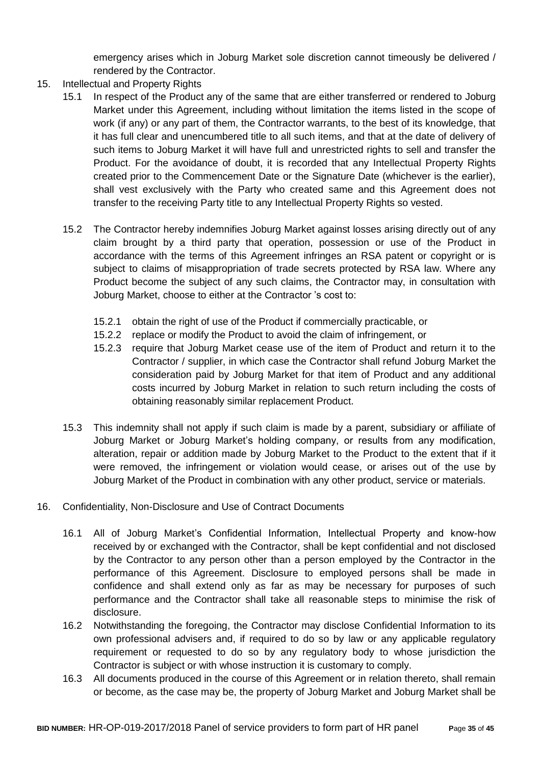emergency arises which in Joburg Market sole discretion cannot timeously be delivered / rendered by the Contractor.

- 15. Intellectual and Property Rights
	- 15.1 In respect of the Product any of the same that are either transferred or rendered to Joburg Market under this Agreement, including without limitation the items listed in the scope of work (if any) or any part of them, the Contractor warrants, to the best of its knowledge, that it has full clear and unencumbered title to all such items, and that at the date of delivery of such items to Joburg Market it will have full and unrestricted rights to sell and transfer the Product. For the avoidance of doubt, it is recorded that any Intellectual Property Rights created prior to the Commencement Date or the Signature Date (whichever is the earlier), shall vest exclusively with the Party who created same and this Agreement does not transfer to the receiving Party title to any Intellectual Property Rights so vested.
	- 15.2 The Contractor hereby indemnifies Joburg Market against losses arising directly out of any claim brought by a third party that operation, possession or use of the Product in accordance with the terms of this Agreement infringes an RSA patent or copyright or is subject to claims of misappropriation of trade secrets protected by RSA law. Where any Product become the subject of any such claims, the Contractor may, in consultation with Joburg Market, choose to either at the Contractor 's cost to:
		- 15.2.1 obtain the right of use of the Product if commercially practicable, or
		- 15.2.2 replace or modify the Product to avoid the claim of infringement, or
		- 15.2.3 require that Joburg Market cease use of the item of Product and return it to the Contractor / supplier, in which case the Contractor shall refund Joburg Market the consideration paid by Joburg Market for that item of Product and any additional costs incurred by Joburg Market in relation to such return including the costs of obtaining reasonably similar replacement Product.
	- 15.3 This indemnity shall not apply if such claim is made by a parent, subsidiary or affiliate of Joburg Market or Joburg Market's holding company, or results from any modification, alteration, repair or addition made by Joburg Market to the Product to the extent that if it were removed, the infringement or violation would cease, or arises out of the use by Joburg Market of the Product in combination with any other product, service or materials.
- 16. Confidentiality, Non-Disclosure and Use of Contract Documents
	- 16.1 All of Joburg Market's Confidential Information, Intellectual Property and know-how received by or exchanged with the Contractor, shall be kept confidential and not disclosed by the Contractor to any person other than a person employed by the Contractor in the performance of this Agreement. Disclosure to employed persons shall be made in confidence and shall extend only as far as may be necessary for purposes of such performance and the Contractor shall take all reasonable steps to minimise the risk of disclosure.
	- 16.2 Notwithstanding the foregoing, the Contractor may disclose Confidential Information to its own professional advisers and, if required to do so by law or any applicable regulatory requirement or requested to do so by any regulatory body to whose jurisdiction the Contractor is subject or with whose instruction it is customary to comply.
	- 16.3 All documents produced in the course of this Agreement or in relation thereto, shall remain or become, as the case may be, the property of Joburg Market and Joburg Market shall be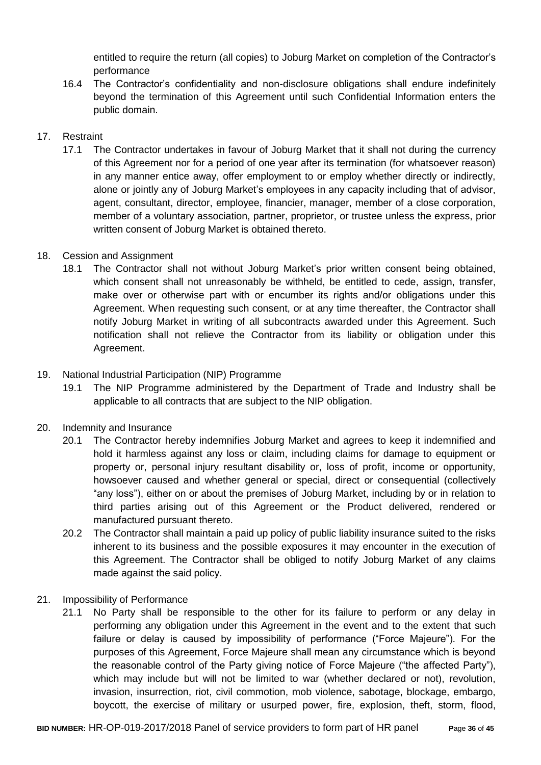entitled to require the return (all copies) to Joburg Market on completion of the Contractor's performance

16.4 The Contractor's confidentiality and non-disclosure obligations shall endure indefinitely beyond the termination of this Agreement until such Confidential Information enters the public domain.

## 17. Restraint

17.1 The Contractor undertakes in favour of Joburg Market that it shall not during the currency of this Agreement nor for a period of one year after its termination (for whatsoever reason) in any manner entice away, offer employment to or employ whether directly or indirectly, alone or jointly any of Joburg Market's employees in any capacity including that of advisor, agent, consultant, director, employee, financier, manager, member of a close corporation, member of a voluntary association, partner, proprietor, or trustee unless the express, prior written consent of Joburg Market is obtained thereto.

## 18. Cession and Assignment

18.1 The Contractor shall not without Joburg Market's prior written consent being obtained, which consent shall not unreasonably be withheld, be entitled to cede, assign, transfer, make over or otherwise part with or encumber its rights and/or obligations under this Agreement. When requesting such consent, or at any time thereafter, the Contractor shall notify Joburg Market in writing of all subcontracts awarded under this Agreement. Such notification shall not relieve the Contractor from its liability or obligation under this Agreement.

## 19. National Industrial Participation (NIP) Programme

19.1 The NIP Programme administered by the Department of Trade and Industry shall be applicable to all contracts that are subject to the NIP obligation.

## 20. Indemnity and Insurance

- 20.1 The Contractor hereby indemnifies Joburg Market and agrees to keep it indemnified and hold it harmless against any loss or claim, including claims for damage to equipment or property or, personal injury resultant disability or, loss of profit, income or opportunity, howsoever caused and whether general or special, direct or consequential (collectively "any loss"), either on or about the premises of Joburg Market, including by or in relation to third parties arising out of this Agreement or the Product delivered, rendered or manufactured pursuant thereto.
- 20.2 The Contractor shall maintain a paid up policy of public liability insurance suited to the risks inherent to its business and the possible exposures it may encounter in the execution of this Agreement. The Contractor shall be obliged to notify Joburg Market of any claims made against the said policy.
- 21. Impossibility of Performance
	- 21.1 No Party shall be responsible to the other for its failure to perform or any delay in performing any obligation under this Agreement in the event and to the extent that such failure or delay is caused by impossibility of performance ("Force Majeure"). For the purposes of this Agreement, Force Majeure shall mean any circumstance which is beyond the reasonable control of the Party giving notice of Force Majeure ("the affected Party"), which may include but will not be limited to war (whether declared or not), revolution, invasion, insurrection, riot, civil commotion, mob violence, sabotage, blockage, embargo, boycott, the exercise of military or usurped power, fire, explosion, theft, storm, flood,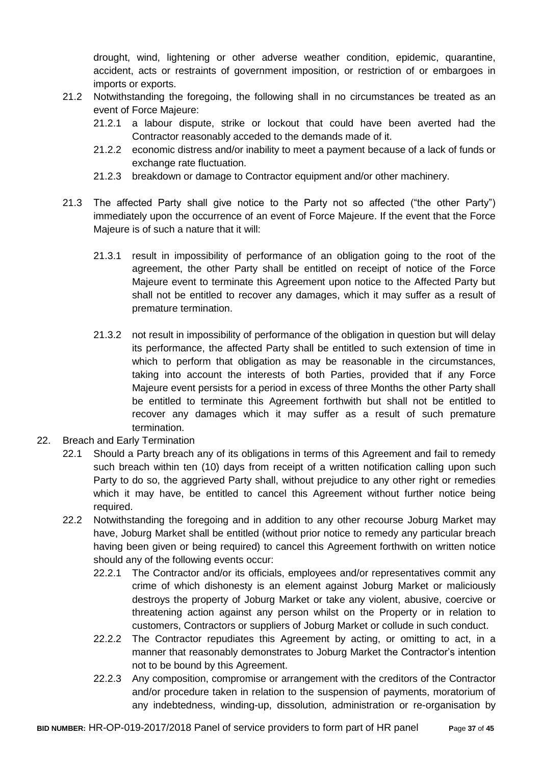drought, wind, lightening or other adverse weather condition, epidemic, quarantine, accident, acts or restraints of government imposition, or restriction of or embargoes in imports or exports.

- 21.2 Notwithstanding the foregoing, the following shall in no circumstances be treated as an event of Force Majeure:
	- 21.2.1 a labour dispute, strike or lockout that could have been averted had the Contractor reasonably acceded to the demands made of it.
	- 21.2.2 economic distress and/or inability to meet a payment because of a lack of funds or exchange rate fluctuation.
	- 21.2.3 breakdown or damage to Contractor equipment and/or other machinery.
- 21.3 The affected Party shall give notice to the Party not so affected ("the other Party") immediately upon the occurrence of an event of Force Majeure. If the event that the Force Majeure is of such a nature that it will:
	- 21.3.1 result in impossibility of performance of an obligation going to the root of the agreement, the other Party shall be entitled on receipt of notice of the Force Majeure event to terminate this Agreement upon notice to the Affected Party but shall not be entitled to recover any damages, which it may suffer as a result of premature termination.
	- 21.3.2 not result in impossibility of performance of the obligation in question but will delay its performance, the affected Party shall be entitled to such extension of time in which to perform that obligation as may be reasonable in the circumstances, taking into account the interests of both Parties, provided that if any Force Majeure event persists for a period in excess of three Months the other Party shall be entitled to terminate this Agreement forthwith but shall not be entitled to recover any damages which it may suffer as a result of such premature termination.
- 22. Breach and Early Termination
	- 22.1 Should a Party breach any of its obligations in terms of this Agreement and fail to remedy such breach within ten (10) days from receipt of a written notification calling upon such Party to do so, the aggrieved Party shall, without prejudice to any other right or remedies which it may have, be entitled to cancel this Agreement without further notice being required.
	- 22.2 Notwithstanding the foregoing and in addition to any other recourse Joburg Market may have, Joburg Market shall be entitled (without prior notice to remedy any particular breach having been given or being required) to cancel this Agreement forthwith on written notice should any of the following events occur:
		- 22.2.1 The Contractor and/or its officials, employees and/or representatives commit any crime of which dishonesty is an element against Joburg Market or maliciously destroys the property of Joburg Market or take any violent, abusive, coercive or threatening action against any person whilst on the Property or in relation to customers, Contractors or suppliers of Joburg Market or collude in such conduct.
		- 22.2.2 The Contractor repudiates this Agreement by acting, or omitting to act, in a manner that reasonably demonstrates to Joburg Market the Contractor's intention not to be bound by this Agreement.
		- 22.2.3 Any composition, compromise or arrangement with the creditors of the Contractor and/or procedure taken in relation to the suspension of payments, moratorium of any indebtedness, winding-up, dissolution, administration or re-organisation by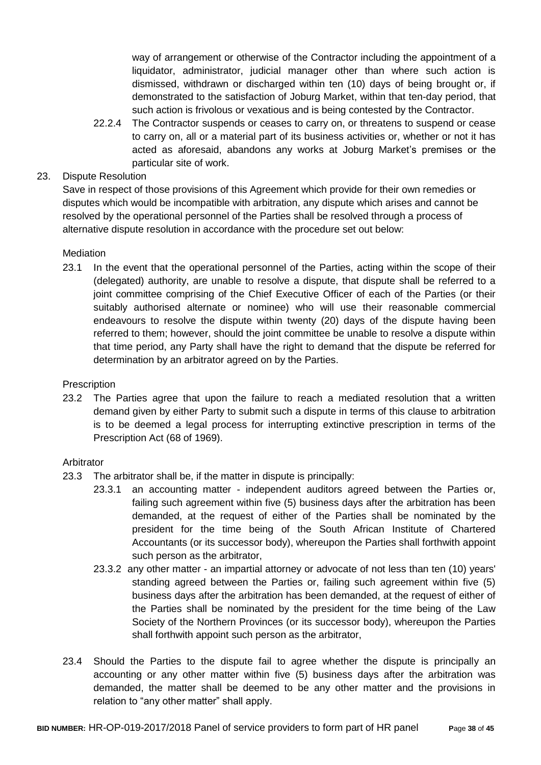way of arrangement or otherwise of the Contractor including the appointment of a liquidator, administrator, judicial manager other than where such action is dismissed, withdrawn or discharged within ten (10) days of being brought or, if demonstrated to the satisfaction of Joburg Market, within that ten-day period, that such action is frivolous or vexatious and is being contested by the Contractor.

22.2.4 The Contractor suspends or ceases to carry on, or threatens to suspend or cease to carry on, all or a material part of its business activities or, whether or not it has acted as aforesaid, abandons any works at Joburg Market's premises or the particular site of work.

## 23. Dispute Resolution

Save in respect of those provisions of this Agreement which provide for their own remedies or disputes which would be incompatible with arbitration, any dispute which arises and cannot be resolved by the operational personnel of the Parties shall be resolved through a process of alternative dispute resolution in accordance with the procedure set out below:

## **Mediation**

23.1 In the event that the operational personnel of the Parties, acting within the scope of their (delegated) authority, are unable to resolve a dispute, that dispute shall be referred to a joint committee comprising of the Chief Executive Officer of each of the Parties (or their suitably authorised alternate or nominee) who will use their reasonable commercial endeavours to resolve the dispute within twenty (20) days of the dispute having been referred to them; however, should the joint committee be unable to resolve a dispute within that time period, any Party shall have the right to demand that the dispute be referred for determination by an arbitrator agreed on by the Parties.

## **Prescription**

23.2 The Parties agree that upon the failure to reach a mediated resolution that a written demand given by either Party to submit such a dispute in terms of this clause to arbitration is to be deemed a legal process for interrupting extinctive prescription in terms of the Prescription Act (68 of 1969).

## Arbitrator

- 23.3 The arbitrator shall be, if the matter in dispute is principally:
	- 23.3.1 an accounting matter independent auditors agreed between the Parties or, failing such agreement within five (5) business days after the arbitration has been demanded, at the request of either of the Parties shall be nominated by the president for the time being of the South African Institute of Chartered Accountants (or its successor body), whereupon the Parties shall forthwith appoint such person as the arbitrator,
	- 23.3.2 any other matter an impartial attorney or advocate of not less than ten (10) years' standing agreed between the Parties or, failing such agreement within five (5) business days after the arbitration has been demanded, at the request of either of the Parties shall be nominated by the president for the time being of the Law Society of the Northern Provinces (or its successor body), whereupon the Parties shall forthwith appoint such person as the arbitrator,
- 23.4 Should the Parties to the dispute fail to agree whether the dispute is principally an accounting or any other matter within five (5) business days after the arbitration was demanded, the matter shall be deemed to be any other matter and the provisions in relation to "any other matter" shall apply.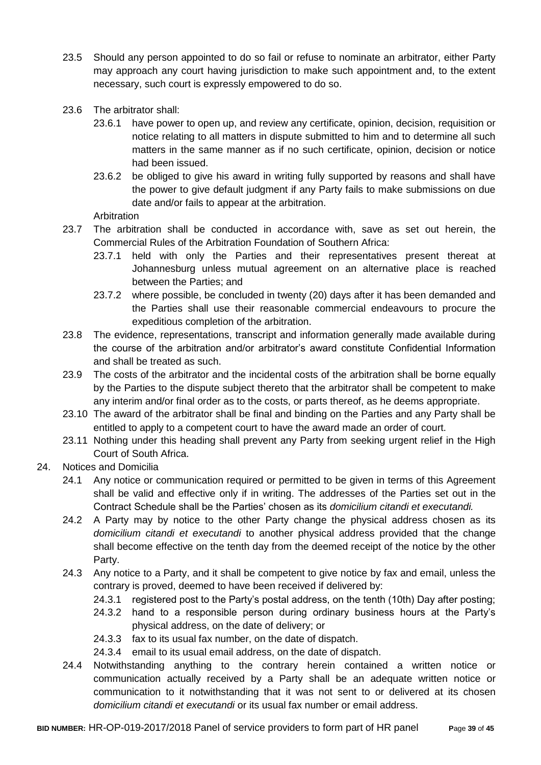- 23.5 Should any person appointed to do so fail or refuse to nominate an arbitrator, either Party may approach any court having jurisdiction to make such appointment and, to the extent necessary, such court is expressly empowered to do so.
- 23.6 The arbitrator shall:
	- 23.6.1 have power to open up, and review any certificate, opinion, decision, requisition or notice relating to all matters in dispute submitted to him and to determine all such matters in the same manner as if no such certificate, opinion, decision or notice had been issued.
	- 23.6.2 be obliged to give his award in writing fully supported by reasons and shall have the power to give default judgment if any Party fails to make submissions on due date and/or fails to appear at the arbitration.

Arbitration

- 23.7 The arbitration shall be conducted in accordance with, save as set out herein, the Commercial Rules of the Arbitration Foundation of Southern Africa:
	- 23.7.1 held with only the Parties and their representatives present thereat at Johannesburg unless mutual agreement on an alternative place is reached between the Parties; and
	- 23.7.2 where possible, be concluded in twenty (20) days after it has been demanded and the Parties shall use their reasonable commercial endeavours to procure the expeditious completion of the arbitration.
- 23.8 The evidence, representations, transcript and information generally made available during the course of the arbitration and/or arbitrator's award constitute Confidential Information and shall be treated as such.
- 23.9 The costs of the arbitrator and the incidental costs of the arbitration shall be borne equally by the Parties to the dispute subject thereto that the arbitrator shall be competent to make any interim and/or final order as to the costs, or parts thereof, as he deems appropriate.
- 23.10 The award of the arbitrator shall be final and binding on the Parties and any Party shall be entitled to apply to a competent court to have the award made an order of court.
- 23.11 Nothing under this heading shall prevent any Party from seeking urgent relief in the High Court of South Africa.
- 24. Notices and Domicilia
	- 24.1 Any notice or communication required or permitted to be given in terms of this Agreement shall be valid and effective only if in writing. The addresses of the Parties set out in the Contract Schedule shall be the Parties' chosen as its *domicilium citandi et executandi.*
	- 24.2 A Party may by notice to the other Party change the physical address chosen as its *domicilium citandi et executandi* to another physical address provided that the change shall become effective on the tenth day from the deemed receipt of the notice by the other Party.
	- 24.3 Any notice to a Party, and it shall be competent to give notice by fax and email, unless the contrary is proved, deemed to have been received if delivered by:
		- 24.3.1 registered post to the Party's postal address, on the tenth (10th) Day after posting;
		- 24.3.2 hand to a responsible person during ordinary business hours at the Party's physical address, on the date of delivery; or
		- 24.3.3 fax to its usual fax number, on the date of dispatch.
		- 24.3.4 email to its usual email address, on the date of dispatch.
	- 24.4 Notwithstanding anything to the contrary herein contained a written notice or communication actually received by a Party shall be an adequate written notice or communication to it notwithstanding that it was not sent to or delivered at its chosen *domicilium citandi et executandi* or its usual fax number or email address.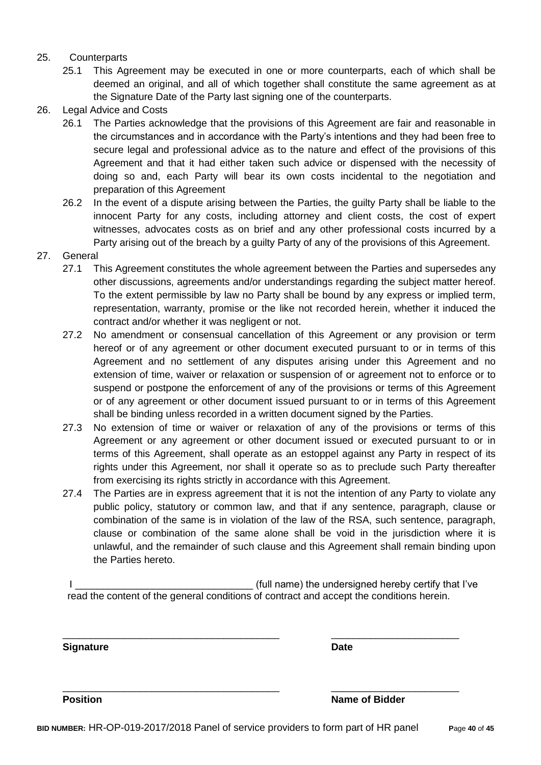## 25. Counterparts

- 25.1 This Agreement may be executed in one or more counterparts, each of which shall be deemed an original, and all of which together shall constitute the same agreement as at the Signature Date of the Party last signing one of the counterparts.
- 26. Legal Advice and Costs
	- 26.1 The Parties acknowledge that the provisions of this Agreement are fair and reasonable in the circumstances and in accordance with the Party's intentions and they had been free to secure legal and professional advice as to the nature and effect of the provisions of this Agreement and that it had either taken such advice or dispensed with the necessity of doing so and, each Party will bear its own costs incidental to the negotiation and preparation of this Agreement
	- 26.2 In the event of a dispute arising between the Parties, the guilty Party shall be liable to the innocent Party for any costs, including attorney and client costs, the cost of expert witnesses, advocates costs as on brief and any other professional costs incurred by a Party arising out of the breach by a guilty Party of any of the provisions of this Agreement.
- 27. General
	- 27.1 This Agreement constitutes the whole agreement between the Parties and supersedes any other discussions, agreements and/or understandings regarding the subject matter hereof. To the extent permissible by law no Party shall be bound by any express or implied term, representation, warranty, promise or the like not recorded herein, whether it induced the contract and/or whether it was negligent or not.
	- 27.2 No amendment or consensual cancellation of this Agreement or any provision or term hereof or of any agreement or other document executed pursuant to or in terms of this Agreement and no settlement of any disputes arising under this Agreement and no extension of time, waiver or relaxation or suspension of or agreement not to enforce or to suspend or postpone the enforcement of any of the provisions or terms of this Agreement or of any agreement or other document issued pursuant to or in terms of this Agreement shall be binding unless recorded in a written document signed by the Parties.
	- 27.3 No extension of time or waiver or relaxation of any of the provisions or terms of this Agreement or any agreement or other document issued or executed pursuant to or in terms of this Agreement, shall operate as an estoppel against any Party in respect of its rights under this Agreement, nor shall it operate so as to preclude such Party thereafter from exercising its rights strictly in accordance with this Agreement.
	- 27.4 The Parties are in express agreement that it is not the intention of any Party to violate any public policy, statutory or common law, and that if any sentence, paragraph, clause or combination of the same is in violation of the law of the RSA, such sentence, paragraph, clause or combination of the same alone shall be void in the jurisdiction where it is unlawful, and the remainder of such clause and this Agreement shall remain binding upon the Parties hereto.

I Letterman the state of the undersigned hereby certify that I've read the content of the general conditions of contract and accept the conditions herein.

\_\_\_\_\_\_\_\_\_\_\_\_\_\_\_\_\_\_\_\_\_\_\_\_\_\_\_\_\_\_\_\_\_\_\_\_\_\_\_ \_\_\_\_\_\_\_\_\_\_\_\_\_\_\_\_\_\_\_\_\_\_\_

\_\_\_\_\_\_\_\_\_\_\_\_\_\_\_\_\_\_\_\_\_\_\_\_\_\_\_\_\_\_\_\_\_\_\_\_\_\_\_ \_\_\_\_\_\_\_\_\_\_\_\_\_\_\_\_\_\_\_\_\_\_\_

**Signature Date**

**Position Name of Bidder**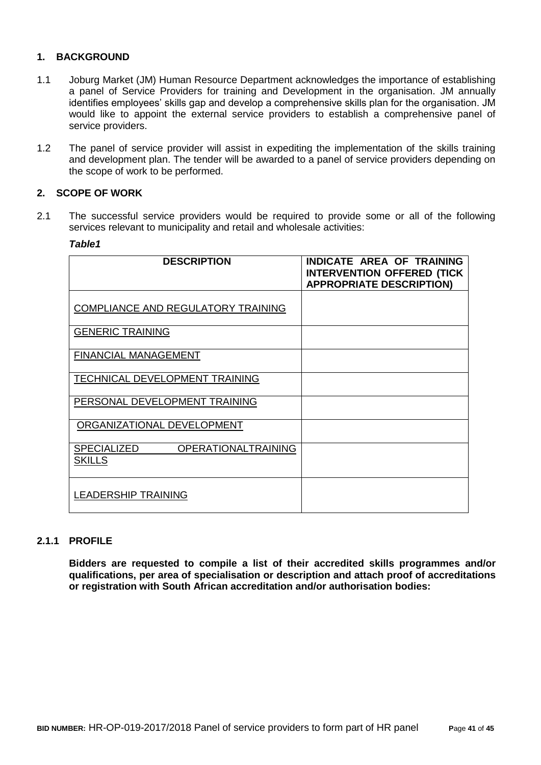## **1. BACKGROUND**

- 1.1 Joburg Market (JM) Human Resource Department acknowledges the importance of establishing a panel of Service Providers for training and Development in the organisation. JM annually identifies employees' skills gap and develop a comprehensive skills plan for the organisation. JM would like to appoint the external service providers to establish a comprehensive panel of service providers.
- 1.2 The panel of service provider will assist in expediting the implementation of the skills training and development plan. The tender will be awarded to a panel of service providers depending on the scope of work to be performed.

#### **2. SCOPE OF WORK**

2.1 The successful service providers would be required to provide some or all of the following services relevant to municipality and retail and wholesale activities:

#### *Table1*

| <b>DESCRIPTION</b>                                                | <b>INDICATE AREA OF TRAINING</b><br><b>INTERVENTION OFFERED (TICK</b><br><b>APPROPRIATE DESCRIPTION)</b> |
|-------------------------------------------------------------------|----------------------------------------------------------------------------------------------------------|
| COMPLIANCE AND REGULATORY TRAINING                                |                                                                                                          |
| <b>GENERIC TRAINING</b>                                           |                                                                                                          |
| <b>FINANCIAL MANAGEMENT</b>                                       |                                                                                                          |
| TECHNICAL DEVELOPMENT TRAINING                                    |                                                                                                          |
| PERSONAL DEVELOPMENT TRAINING                                     |                                                                                                          |
| ORGANIZATIONAL DEVELOPMENT                                        |                                                                                                          |
| <b>SPECIALIZED</b><br><b>OPERATIONALTRAINING</b><br><b>SKILLS</b> |                                                                                                          |
| <b>LEADERSHIP TRAINING</b>                                        |                                                                                                          |

#### **2.1.1 PROFILE**

**Bidders are requested to compile a list of their accredited skills programmes and/or qualifications, per area of specialisation or description and attach proof of accreditations or registration with South African accreditation and/or authorisation bodies:**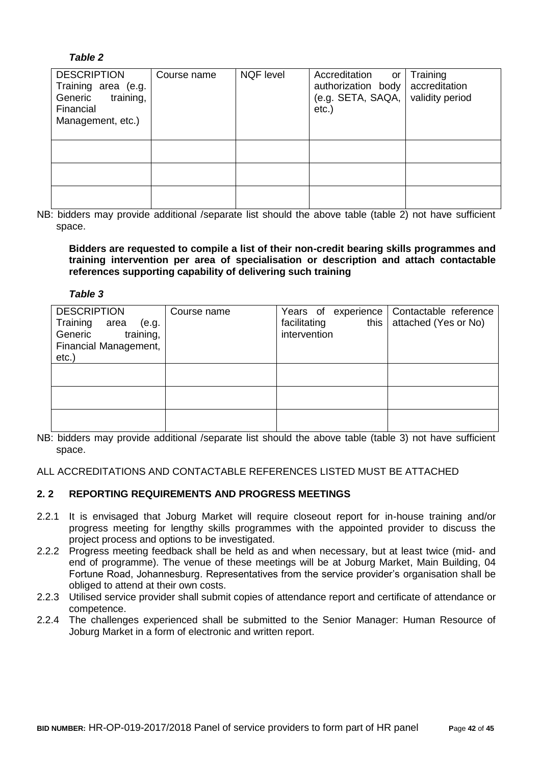## *Table 2*

| <b>DESCRIPTION</b><br>Training area (e.g.<br>training,<br>Generic<br>Financial<br>Management, etc.) | Course name | <b>NQF</b> level | Accreditation<br>or<br>authorization body<br>(e.g. SET A, SAOA,  <br>$etc.$ ) | Training<br>accreditation<br>validity period |
|-----------------------------------------------------------------------------------------------------|-------------|------------------|-------------------------------------------------------------------------------|----------------------------------------------|
|                                                                                                     |             |                  |                                                                               |                                              |
|                                                                                                     |             |                  |                                                                               |                                              |
|                                                                                                     |             |                  |                                                                               |                                              |

NB: bidders may provide additional /separate list should the above table (table 2) not have sufficient space.

**Bidders are requested to compile a list of their non-credit bearing skills programmes and training intervention per area of specialisation or description and attach contactable references supporting capability of delivering such training**

#### *Table 3*

| <b>DESCRIPTION</b><br>Training<br>area<br>(e.g.<br>Generic<br>training,<br>Financial Management,<br>etc. | Course name | Years of experience<br>this<br>facilitating<br>intervention | Contactable reference<br>attached (Yes or No) |
|----------------------------------------------------------------------------------------------------------|-------------|-------------------------------------------------------------|-----------------------------------------------|
|                                                                                                          |             |                                                             |                                               |
|                                                                                                          |             |                                                             |                                               |
|                                                                                                          |             |                                                             |                                               |

NB: bidders may provide additional /separate list should the above table (table 3) not have sufficient space.

ALL ACCREDITATIONS AND CONTACTABLE REFERENCES LISTED MUST BE ATTACHED

## **2. 2 REPORTING REQUIREMENTS AND PROGRESS MEETINGS**

- 2.2.1 It is envisaged that Joburg Market will require closeout report for in-house training and/or progress meeting for lengthy skills programmes with the appointed provider to discuss the project process and options to be investigated.
- 2.2.2 Progress meeting feedback shall be held as and when necessary, but at least twice (mid- and end of programme). The venue of these meetings will be at Joburg Market, Main Building, 04 Fortune Road, Johannesburg. Representatives from the service provider's organisation shall be obliged to attend at their own costs.
- 2.2.3 Utilised service provider shall submit copies of attendance report and certificate of attendance or competence.
- 2.2.4 The challenges experienced shall be submitted to the Senior Manager: Human Resource of Joburg Market in a form of electronic and written report.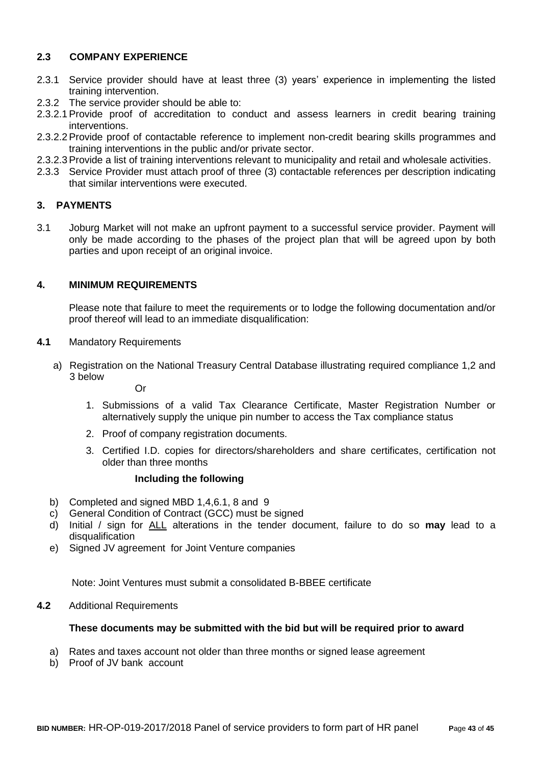## **2.3 COMPANY EXPERIENCE**

- 2.3.1 Service provider should have at least three (3) years' experience in implementing the listed training intervention.
- 2.3.2 The service provider should be able to:
- 2.3.2.1Provide proof of accreditation to conduct and assess learners in credit bearing training interventions.
- 2.3.2.2Provide proof of contactable reference to implement non-credit bearing skills programmes and training interventions in the public and/or private sector.
- 2.3.2.3Provide a list of training interventions relevant to municipality and retail and wholesale activities.
- 2.3.3 Service Provider must attach proof of three (3) contactable references per description indicating that similar interventions were executed.

## **3. PAYMENTS**

3.1 Joburg Market will not make an upfront payment to a successful service provider. Payment will only be made according to the phases of the project plan that will be agreed upon by both parties and upon receipt of an original invoice.

#### **4. MINIMUM REQUIREMENTS**

Please note that failure to meet the requirements or to lodge the following documentation and/or proof thereof will lead to an immediate disqualification:

- **4.1** Mandatory Requirements
	- a) Registration on the National Treasury Central Database illustrating required compliance 1,2 and 3 below

Or

- 1. Submissions of a valid Tax Clearance Certificate, Master Registration Number or alternatively supply the unique pin number to access the Tax compliance status
- 2. Proof of company registration documents.
- 3. Certified I.D. copies for directors/shareholders and share certificates, certification not older than three months

#### **Including the following**

- b) Completed and signed MBD 1,4,6.1, 8 and 9
- c) General Condition of Contract (GCC) must be signed<br>d) Initial / sign for ALL alterations in the tender door
- d) Initial / sign for ALL alterations in the tender document, failure to do so **may** lead to a disqualification
- e) Signed JV agreement for Joint Venture companies

Note: Joint Ventures must submit a consolidated B-BBEE certificate

## **4.2** Additional Requirements

#### **These documents may be submitted with the bid but will be required prior to award**

- a) Rates and taxes account not older than three months or signed lease agreement
- b) Proof of JV bank account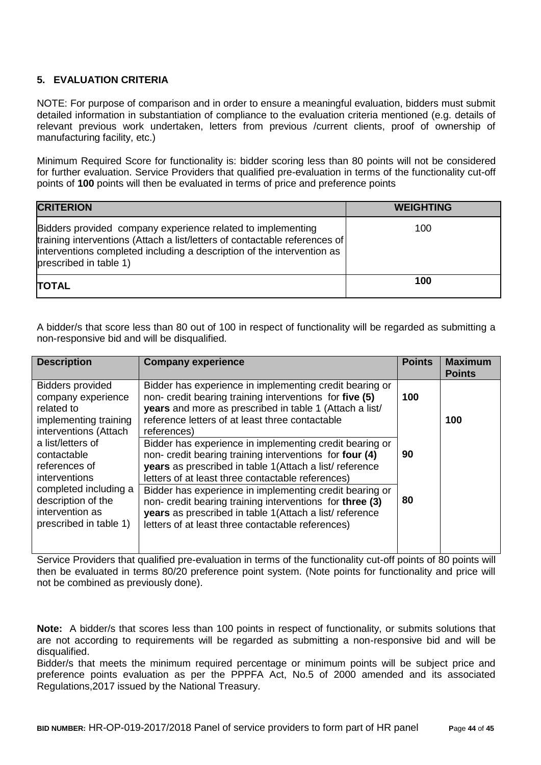## **5. EVALUATION CRITERIA**

NOTE: For purpose of comparison and in order to ensure a meaningful evaluation, bidders must submit detailed information in substantiation of compliance to the evaluation criteria mentioned (e.g. details of relevant previous work undertaken, letters from previous /current clients, proof of ownership of manufacturing facility, etc.)

Minimum Required Score for functionality is: bidder scoring less than 80 points will not be considered for further evaluation. Service Providers that qualified pre-evaluation in terms of the functionality cut-off points of **100** points will then be evaluated in terms of price and preference points

| <b>CRITERION</b>                                                                                                                                                                                                                              | <b>WEIGHTING</b> |
|-----------------------------------------------------------------------------------------------------------------------------------------------------------------------------------------------------------------------------------------------|------------------|
| Bidders provided company experience related to implementing<br>training interventions (Attach a list/letters of contactable references of<br>interventions completed including a description of the intervention as<br>prescribed in table 1) | 100              |
| TOTAL                                                                                                                                                                                                                                         | 100              |

A bidder/s that score less than 80 out of 100 in respect of functionality will be regarded as submitting a non-responsive bid and will be disqualified.

| <b>Description</b>                                                                                            | <b>Company experience</b>                                                                                                                                                                                                                       | <b>Points</b> | <b>Maximum</b><br><b>Points</b> |
|---------------------------------------------------------------------------------------------------------------|-------------------------------------------------------------------------------------------------------------------------------------------------------------------------------------------------------------------------------------------------|---------------|---------------------------------|
| <b>Bidders provided</b><br>company experience<br>related to<br>implementing training<br>interventions (Attach | Bidder has experience in implementing credit bearing or<br>non- credit bearing training interventions for five (5)<br>years and more as prescribed in table 1 (Attach a list/<br>reference letters of at least three contactable<br>references) | 100           | 100                             |
| a list/letters of<br>contactable<br>references of<br>interventions                                            | Bidder has experience in implementing credit bearing or<br>non- credit bearing training interventions for four (4)<br>years as prescribed in table 1(Attach a list/reference<br>letters of at least three contactable references)               | 90            |                                 |
| completed including a<br>description of the<br>intervention as<br>prescribed in table 1)                      | Bidder has experience in implementing credit bearing or<br>non- credit bearing training interventions for three (3)<br>years as prescribed in table 1(Attach a list/reference<br>letters of at least three contactable references)              | 80            |                                 |
|                                                                                                               |                                                                                                                                                                                                                                                 |               |                                 |

Service Providers that qualified pre-evaluation in terms of the functionality cut-off points of 80 points will then be evaluated in terms 80/20 preference point system. (Note points for functionality and price will not be combined as previously done).

**Note:** A bidder/s that scores less than 100 points in respect of functionality, or submits solutions that are not according to requirements will be regarded as submitting a non-responsive bid and will be disqualified.

Bidder/s that meets the minimum required percentage or minimum points will be subject price and preference points evaluation as per the PPPFA Act, No.5 of 2000 amended and its associated Regulations,2017 issued by the National Treasury.